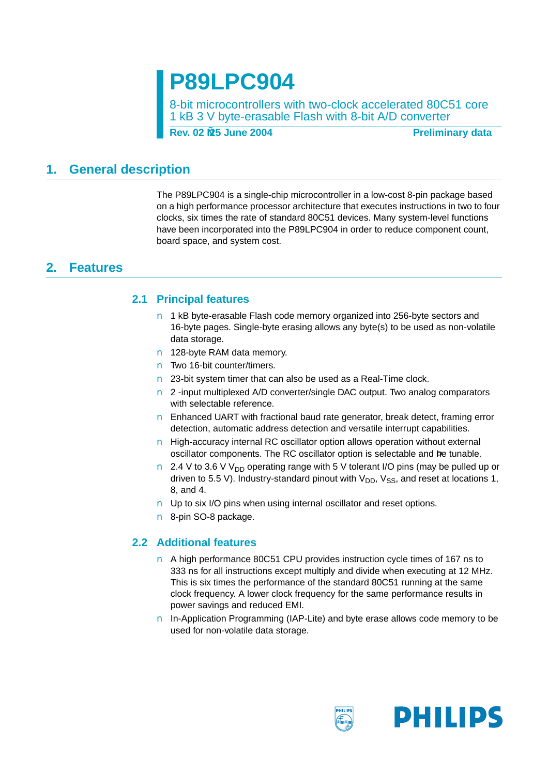# **P89LPC904**

8-bit microcontrollers with two-clock accelerated 80C51 core 1 kB 3 V byte-erasable Flash with 8-bit A/D converter

**Rev. 02 25 June 2004** Preliminary data

### <span id="page-0-0"></span>**1. General description**

The P89LPC904 is a single-chip microcontroller in a low-cost 8-pin package based on a high performance processor architecture that executes instructions in two to four clocks, six times the rate of standard 80C51 devices. Many system-level functions have been incorporated into the P89LPC904 in order to reduce component count, board space, and system cost.

### <span id="page-0-2"></span><span id="page-0-1"></span>**2. Features**

### **2.1 Principal features**

- 1 kB byte-erasable Flash code memory organized into 256-byte sectors and 16-byte pages. Single-byte erasing allows any byte(s) to be used as non-volatile data storage.
- 128-byte RAM data memory.
- Two 16-bit counter/timers.
- 23-bit system timer that can also be used as a Real-Time clock.
- 2 -input multiplexed A/D converter/single DAC output. Two analog comparators with selectable reference.
- Enhanced UART with fractional baud rate generator, break detect, framing error detection, automatic address detection and versatile interrupt capabilities.
- High-accuracy internal RC oscillator option allows operation without external oscillator components. The RC oscillator option is selectable and ne tunable.
- 2.4 V to 3.6 V V<sub>DD</sub> operating range with 5 V tolerant I/O pins (may be pulled up or driven to 5.5 V). Industry-standard pinout with  $V_{DD}$ ,  $V_{SS}$ , and reset at locations 1, 8, and 4.
- Up to six I/O pins when using internal oscillator and reset options.
- 8-pin SO-8 package.

#### <span id="page-0-3"></span>**2.2 Additional features**

- A high performance 80C51 CPU provides instruction cycle times of 167 ns to 333 ns for all instructions except multiply and divide when executing at 12 MHz. This is six times the performance of the standard 80C51 running at the same clock frequency. A lower clock frequency for the same performance results in power savings and reduced EMI.
- In-Application Programming (IAP-Lite) and byte erase allows code memory to be used for non-volatile data storage.

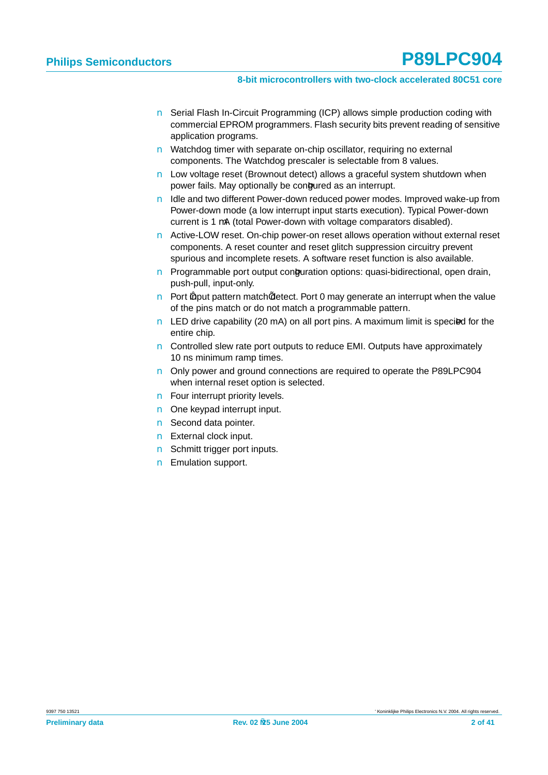- Serial Flash In-Circuit Programming (ICP) allows simple production coding with commercial EPROM programmers. Flash security bits prevent reading of sensitive application programs.
- Watchdog timer with separate on-chip oscillator, requiring no external components. The Watchdog prescaler is selectable from 8 values.
- Low voltage reset (Brownout detect) allows a graceful system shutdown when power fails. May optionally be con gured as an interrupt.
- Idle and two different Power-down reduced power modes. Improved wake-up from Power-down mode (a low interrupt input starts execution). Typical Power-down current is 1 µA (total Power-down with voltage comparators disabled).
- Active-LOW reset. On-chip power-on reset allows operation without external reset components. A reset counter and reset glitch suppression circuitry prevent spurious and incomplete resets. A software reset function is also available.
- **•** Programmable port output con guration options: quasi-bidirectional, open drain, push-pull, input-only.
- Port input pattern match detect. Port 0 may generate an interrupt when the value of the pins match or do not match a programmable pattern.
- **LED drive capability (20 mA) on all port pins. A maximum limit is speci ed for the** entire chip.
- Controlled slew rate port outputs to reduce EMI. Outputs have approximately 10 ns minimum ramp times.
- Only power and ground connections are required to operate the P89LPC904 when internal reset option is selected.
- Four interrupt priority levels.
- One keypad interrupt input.
- Second data pointer.
- External clock input.
- Schmitt trigger port inputs.
- **EXECUTE:** Emulation support.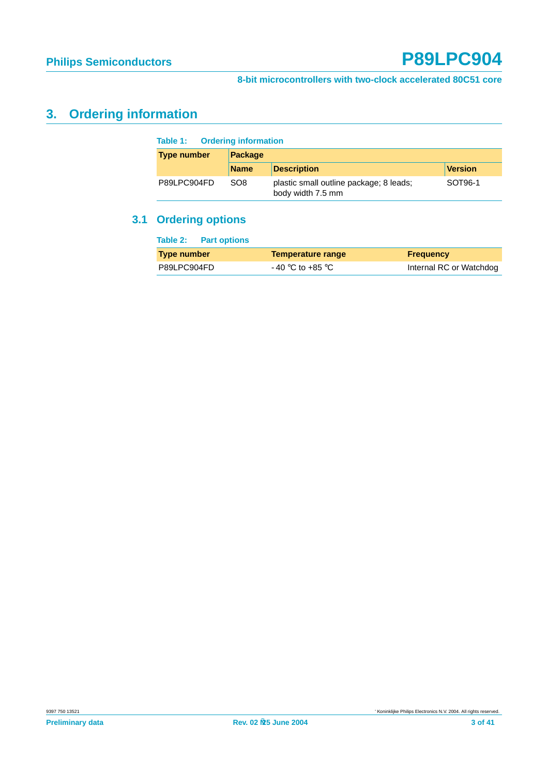# <span id="page-2-0"></span>**3. Ordering information**

| <b>Table 1: Ordering information</b> |                 |                                                              |                |  |  |  |  |  |  |
|--------------------------------------|-----------------|--------------------------------------------------------------|----------------|--|--|--|--|--|--|
| <b>Type number</b>                   | <b>Package</b>  |                                                              |                |  |  |  |  |  |  |
|                                      | <b>Name</b>     | <b>Description</b>                                           | <b>Version</b> |  |  |  |  |  |  |
| P89LPC904FD                          | SO <sub>8</sub> | plastic small outline package; 8 leads;<br>body width 7.5 mm | SOT96-1        |  |  |  |  |  |  |

## <span id="page-2-1"></span>**3.1 Ordering options**

| Table 2: Part options |                    |                         |
|-----------------------|--------------------|-------------------------|
| <b>Type number</b>    | Temperature range  | <b>Frequency</b>        |
| P89LPC904FD           | $-40$ °C to +85 °C | Internal RC or Watchdog |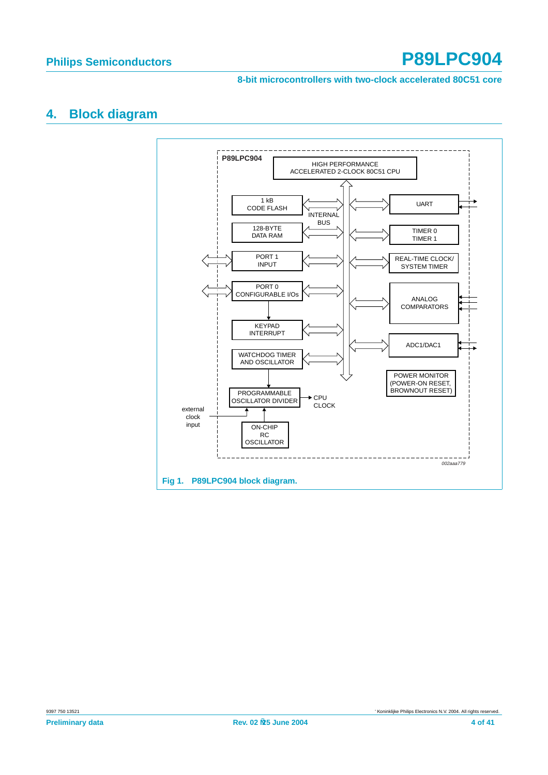#### **8-bit microcontrollers with two-clock accelerated 80C51 core**

### <span id="page-3-0"></span>**4. Block diagram**

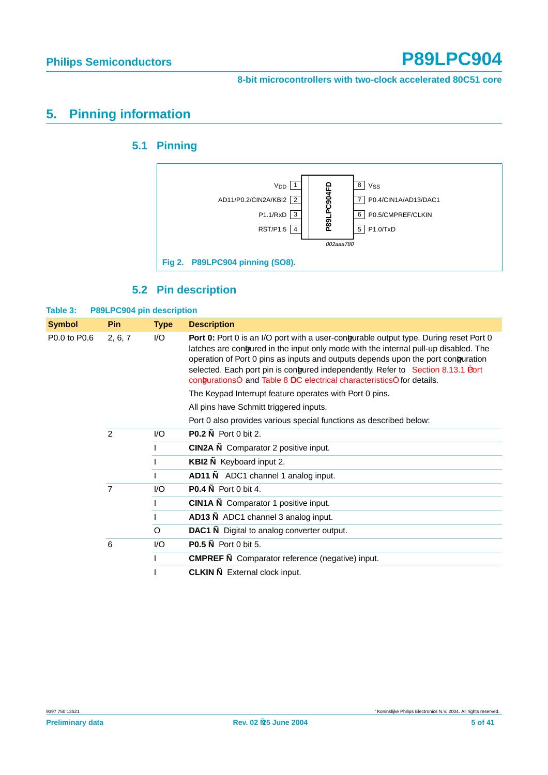**8-bit microcontrollers with two-clock accelerated 80C51 core**

# <span id="page-4-1"></span><span id="page-4-0"></span>**5. Pinning information**

### **5.1 Pinning**



### **5.2 Pin description**

<span id="page-4-2"></span>

| Table 3:      | P89LPC904 pin description |             |                                                                                                                                                                                                                                                                                                                                                                                                                                        |  |  |  |
|---------------|---------------------------|-------------|----------------------------------------------------------------------------------------------------------------------------------------------------------------------------------------------------------------------------------------------------------------------------------------------------------------------------------------------------------------------------------------------------------------------------------------|--|--|--|
| <b>Symbol</b> | Pin                       | <b>Type</b> | <b>Description</b>                                                                                                                                                                                                                                                                                                                                                                                                                     |  |  |  |
| P0.0 to P0.6  | 2, 6, 7                   | I/O         | <b>Port 0:</b> Port 0 is an I/O port with a user-con gurable output type. During reset Port 0<br>latches are con gured in the input only mode with the internal pull-up disabled. The<br>operation of Port 0 pins as inputs and outputs depends upon the port con guration<br>selected. Each port pin is con gured independently. Refer to Section 8.13.1 Port<br>con gurations and Table 8 DC electrical characteristics for details. |  |  |  |
|               |                           |             | The Keypad Interrupt feature operates with Port 0 pins.                                                                                                                                                                                                                                                                                                                                                                                |  |  |  |
|               |                           |             | All pins have Schmitt triggered inputs.                                                                                                                                                                                                                                                                                                                                                                                                |  |  |  |
|               |                           |             | Port 0 also provides various special functions as described below:                                                                                                                                                                                                                                                                                                                                                                     |  |  |  |
|               | $\overline{2}$            | I/O         | <b>P0.2</b><br>Port 0 bit 2.                                                                                                                                                                                                                                                                                                                                                                                                           |  |  |  |
|               |                           |             | CIN2A<br>Comparator 2 positive input.                                                                                                                                                                                                                                                                                                                                                                                                  |  |  |  |
|               |                           |             | KBI <sub>2</sub><br>Keyboard input 2.                                                                                                                                                                                                                                                                                                                                                                                                  |  |  |  |
|               |                           |             | <b>AD11</b><br>ADC1 channel 1 analog input.                                                                                                                                                                                                                                                                                                                                                                                            |  |  |  |
|               | $\overline{7}$            | 1/O         | Port 0 bit 4.<br><b>P0.4</b>                                                                                                                                                                                                                                                                                                                                                                                                           |  |  |  |
|               |                           |             | CIN1A<br>Comparator 1 positive input.                                                                                                                                                                                                                                                                                                                                                                                                  |  |  |  |
|               |                           |             | AD13<br>ADC1 channel 3 analog input.                                                                                                                                                                                                                                                                                                                                                                                                   |  |  |  |
|               |                           | O           | DAC <sub>1</sub><br>Digital to analog converter output.                                                                                                                                                                                                                                                                                                                                                                                |  |  |  |
|               | 6                         | 1/O         | Port 0 bit 5.<br>P <sub>0.5</sub>                                                                                                                                                                                                                                                                                                                                                                                                      |  |  |  |
|               |                           |             | <b>CMPREF</b><br>Comparator reference (negative) input.                                                                                                                                                                                                                                                                                                                                                                                |  |  |  |
|               |                           |             | <b>CLKIN</b><br>External clock input.                                                                                                                                                                                                                                                                                                                                                                                                  |  |  |  |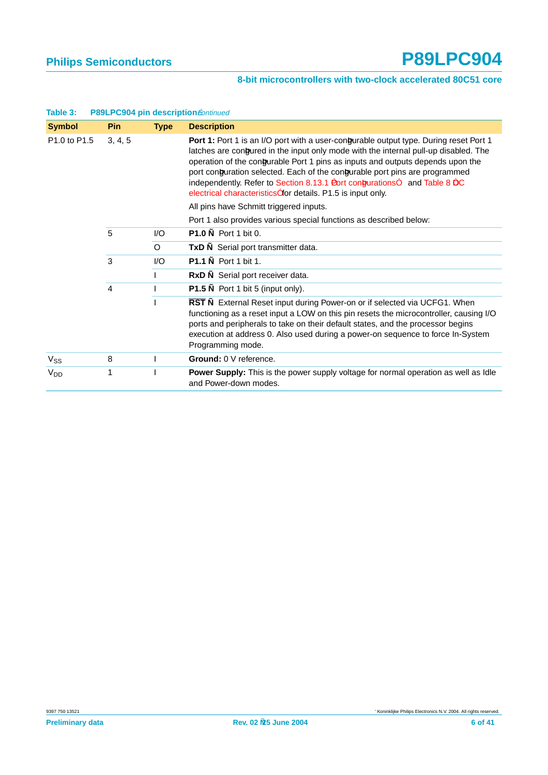| Table 3:                             | P89LPC904 pin description continued |             |                    |                                                                                                                                                                                                                                                                                                                                                                                                                                                                                              |
|--------------------------------------|-------------------------------------|-------------|--------------------|----------------------------------------------------------------------------------------------------------------------------------------------------------------------------------------------------------------------------------------------------------------------------------------------------------------------------------------------------------------------------------------------------------------------------------------------------------------------------------------------|
| <b>Symbol</b>                        | Pin                                 | <b>Type</b> | <b>Description</b> |                                                                                                                                                                                                                                                                                                                                                                                                                                                                                              |
| P <sub>1.0</sub> to P <sub>1.5</sub> | 3, 4, 5                             |             |                    | Port 1: Port 1 is an I/O port with a user-con gurable output type. During reset Port 1<br>latches are con gured in the input only mode with the internal pull-up disabled. The<br>operation of the con gurable Port 1 pins as inputs and outputs depends upon the<br>port con guration selected. Each of the con gurable port pins are programmed<br>independently. Refer to Section 8.13.1 Port con gurations and Table 8 DC<br>electrical characteristics for details. P1.5 is input only. |
|                                      |                                     |             |                    | All pins have Schmitt triggered inputs.                                                                                                                                                                                                                                                                                                                                                                                                                                                      |
|                                      |                                     |             |                    | Port 1 also provides various special functions as described below:                                                                                                                                                                                                                                                                                                                                                                                                                           |
|                                      | 5                                   | 1/O         | P <sub>1.0</sub>   | Port 1 bit 0.                                                                                                                                                                                                                                                                                                                                                                                                                                                                                |
|                                      |                                     | O           | <b>TxD</b>         | Serial port transmitter data.                                                                                                                                                                                                                                                                                                                                                                                                                                                                |
|                                      | 3                                   | 1/O         | P <sub>1.1</sub>   | Port 1 bit 1.                                                                                                                                                                                                                                                                                                                                                                                                                                                                                |
|                                      |                                     |             | <b>RxD</b>         | Serial port receiver data.                                                                                                                                                                                                                                                                                                                                                                                                                                                                   |
|                                      | $\overline{4}$                      |             | P <sub>1.5</sub>   | Port 1 bit 5 (input only).                                                                                                                                                                                                                                                                                                                                                                                                                                                                   |
|                                      |                                     |             | <b>RST</b>         | External Reset input during Power-on or if selected via UCFG1. When<br>functioning as a reset input a LOW on this pin resets the microcontroller, causing I/O<br>ports and peripherals to take on their default states, and the processor begins<br>execution at address 0. Also used during a power-on sequence to force In-System<br>Programming mode.                                                                                                                                     |
| $V_{SS}$                             | 8                                   |             |                    | Ground: 0 V reference.                                                                                                                                                                                                                                                                                                                                                                                                                                                                       |
| $V_{DD}$                             | 1                                   |             |                    | <b>Power Supply:</b> This is the power supply voltage for normal operation as well as Idle<br>and Power-down modes.                                                                                                                                                                                                                                                                                                                                                                          |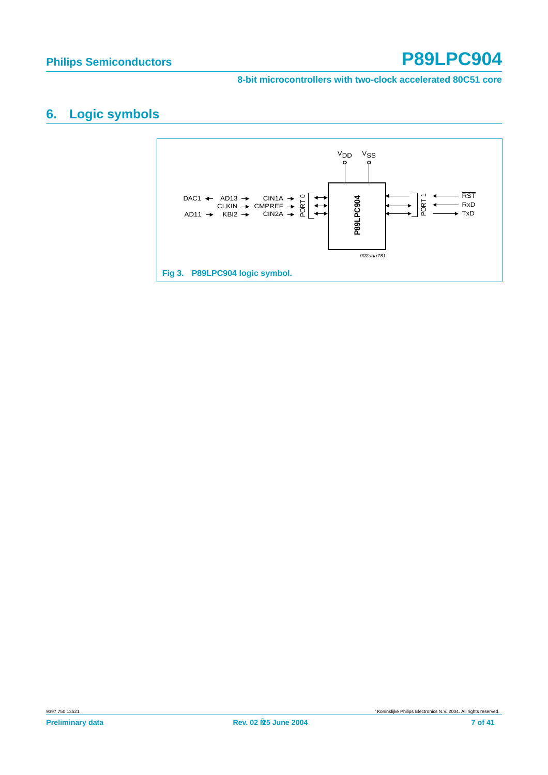**8-bit microcontrollers with two-clock accelerated 80C51 core**

# <span id="page-6-0"></span>**6. Logic symbols**

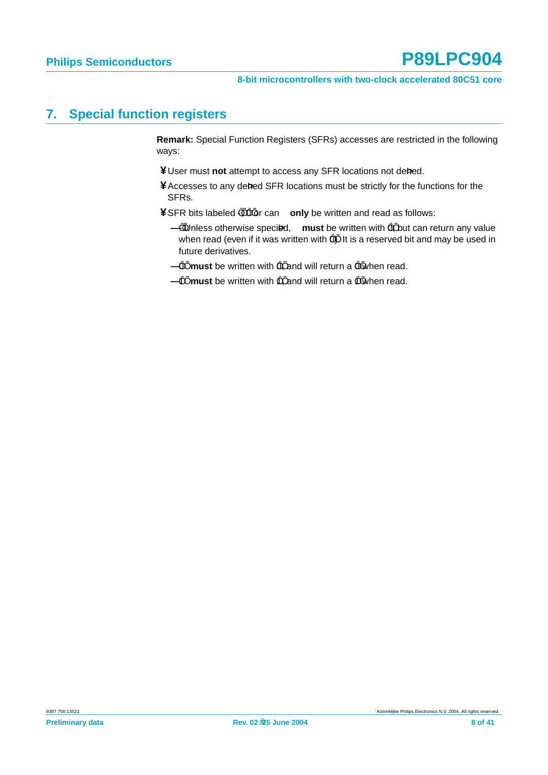#### **8-bit microcontrollers with two-clock accelerated 80C51 core**

# <span id="page-7-0"></span>**7. Special function registers**

**Remark:** Special Function Registers (SFRs) accesses are restricted in the following ways:

¥ User must not attempt to access any SFR locations not de ned.

- ¥ Accesses to any de ned SFR locations must be strictly for the functions for the SFRs.
- ¥SFR bits labeled -, 0 or canonly be written and read as follows:
	- - Unless otherwise speci ed, **must** be written with 0, but can return any value when read (even if it was written with  $\theta$ ). It is a reserved bit and may be used in future derivatives.
	- $-0$  must be written with 0, and will return a 0 when read.
	- $-1$  must be written with 1, and will return a 1 when read.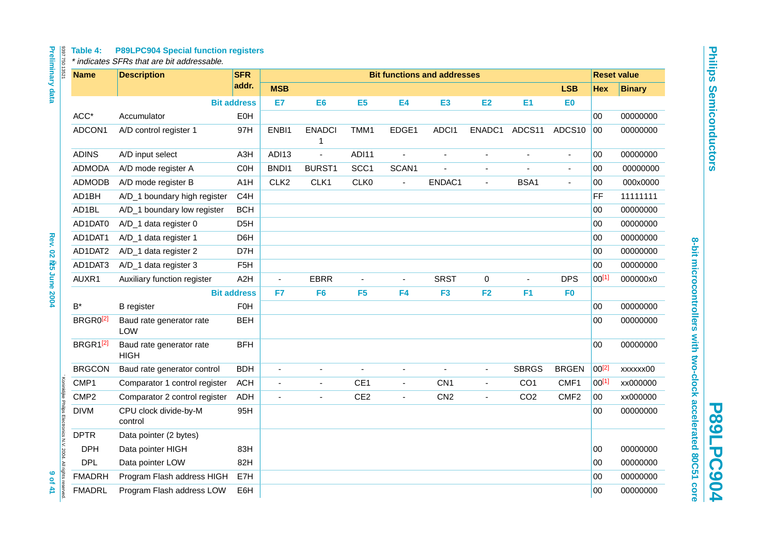**Philips Semiconductors Philips Semiconductors**

8-bit microcontrollers with two-clock accelerated 80C51 core **8-bit microcontrollers with two-clock accelerated 80C51 core**

**P89LPC904**

**P89LPC904** 

| 9397 750 13521<br><b>Name</b>                                                 | <b>Description</b>                      | <b>SFR</b>         |                  |                    |                          |                | <b>Bit functions and addresses</b> |                |                 |                  |            | <b>Reset value</b> |
|-------------------------------------------------------------------------------|-----------------------------------------|--------------------|------------------|--------------------|--------------------------|----------------|------------------------------------|----------------|-----------------|------------------|------------|--------------------|
|                                                                               |                                         | addr.              | <b>MSB</b>       |                    |                          |                |                                    |                |                 | <b>LSB</b>       | <b>Hex</b> | <b>Binary</b>      |
|                                                                               |                                         | <b>Bit address</b> | E7               | E <sub>6</sub>     | E <sub>5</sub>           | <b>E4</b>      | E <sub>3</sub>                     | E2             | E1              | E <sub>0</sub>   |            |                    |
| ACC*                                                                          | Accumulator                             | <b>E0H</b>         |                  |                    |                          |                |                                    |                |                 |                  | 00         | 00000000           |
| ADCON1                                                                        | A/D control register 1                  | 97H                | ENBI1            | <b>ENADCI</b><br>1 | TMM1                     | EDGE1          | ADCI1                              | ENADC1         | ADCS11          | ADCS10           | 00         | 00000000           |
| <b>ADINS</b>                                                                  | A/D input select                        | A3H                | ADI13            | $\blacksquare$     | ADI11                    | $\blacksquare$ |                                    | ä,             |                 | $\sim$           | 00         | 00000000           |
| <b>ADMODA</b>                                                                 | A/D mode register A                     | <b>COH</b>         | BND <sub>1</sub> | BURST1             | SCC <sub>1</sub>         | SCAN1          |                                    |                |                 |                  | 00         | 00000000           |
| <b>ADMODB</b>                                                                 | A/D mode register B                     | A1H                | CLK <sub>2</sub> | CLK1               | CLK0                     | ä,             | ENDAC1                             | $\blacksquare$ | BSA1            |                  | 00         | 000x0000           |
| AD1BH                                                                         | A/D_1 boundary high register            | C <sub>4</sub> H   |                  |                    |                          |                |                                    |                |                 |                  | FF         | 11111111           |
| AD1BL                                                                         | A/D_1 boundary low register             | <b>BCH</b>         |                  |                    |                          |                |                                    |                |                 |                  | 00         | 00000000           |
| AD1DAT0                                                                       | A/D_1 data register 0                   | D <sub>5</sub> H   |                  |                    |                          |                |                                    |                |                 |                  | 00         | 00000000           |
| AD1DAT1                                                                       | A/D_1 data register 1                   | D6H                |                  |                    |                          |                |                                    |                |                 |                  | 00         | 00000000           |
| AD1DAT2                                                                       | A/D_1 data register 2                   | D7H                |                  |                    |                          |                |                                    |                |                 |                  | 00         | 00000000           |
| AD1DAT3                                                                       | A/D_1 data register 3                   | F <sub>5</sub> H   |                  |                    |                          |                |                                    |                |                 |                  | 00         | 00000000           |
| AUXR1                                                                         | Auxiliary function register             | A <sub>2</sub> H   | $\blacksquare$   | <b>EBRR</b>        | $\overline{\phantom{a}}$ | $\blacksquare$ | <b>SRST</b>                        | 0              |                 | <b>DPS</b>       | $00^{[1]}$ | 000000x0           |
|                                                                               |                                         | <b>Bit address</b> | F7               | F <sub>6</sub>     | F <sub>5</sub>           | F <sub>4</sub> | F <sub>3</sub>                     | F2             | F <sub>1</sub>  | F <sub>0</sub>   |            |                    |
| $\mathsf{B}^{\star}$                                                          | <b>B</b> register                       | <b>F0H</b>         |                  |                    |                          |                |                                    |                |                 |                  | 00         | 00000000           |
| BRGR0 <sup>[2]</sup>                                                          | Baud rate generator rate<br><b>LOW</b>  | <b>BEH</b>         |                  |                    |                          |                |                                    |                |                 |                  | 00         | 00000000           |
| BRGR <sub>1[2]</sub>                                                          | Baud rate generator rate<br><b>HIGH</b> | <b>BFH</b>         |                  |                    |                          |                |                                    |                |                 |                  | 00         | 00000000           |
| <b>BRGCON</b>                                                                 | Baud rate generator control             | <b>BDH</b>         | ä,               | $\blacksquare$     | $\blacksquare$           | $\blacksquare$ | $\blacksquare$                     | ÷,             | <b>SBRGS</b>    | <b>BRGEN</b>     | $00^{[2]}$ | xxxxxx00           |
| CMP1                                                                          | Comparator 1 control register           | <b>ACH</b>         | ÷,               | ä,                 | CE <sub>1</sub>          | $\blacksquare$ | CN <sub>1</sub>                    | $\blacksquare$ | CO <sub>1</sub> | CMF1             | 00[1]      | xx000000           |
| CMP <sub>2</sub>                                                              | Comparator 2 control register           | ADH                |                  |                    | CE <sub>2</sub>          | ÷,             | CN <sub>2</sub>                    | $\blacksquare$ | CO <sub>2</sub> | CMF <sub>2</sub> | 00         | xx000000           |
| Koninklijke Philips Electronics N.V. 2004. All rights reserved<br><b>DIVM</b> | CPU clock divide-by-M<br>control        | 95H                |                  |                    |                          |                |                                    |                |                 |                  | 00         | 00000000           |
| <b>DPTR</b>                                                                   | Data pointer (2 bytes)                  |                    |                  |                    |                          |                |                                    |                |                 |                  |            |                    |
| <b>DPH</b>                                                                    | Data pointer HIGH                       | 83H                |                  |                    |                          |                |                                    |                |                 |                  | 00         | 00000000           |
| <b>DPL</b>                                                                    | Data pointer LOW                        | 82H                |                  |                    |                          |                |                                    |                |                 |                  | 00         | 00000000           |
| <b>FMADRH</b>                                                                 | Program Flash address HIGH              | E7H                |                  |                    |                          |                |                                    |                |                 |                  | 00         | 00000000           |
| <b>FMADRL</b>                                                                 | Program Flash address LOW               | E6H                |                  |                    |                          |                |                                    |                |                 |                  | 00         | 00000000           |

<span id="page-8-0"></span>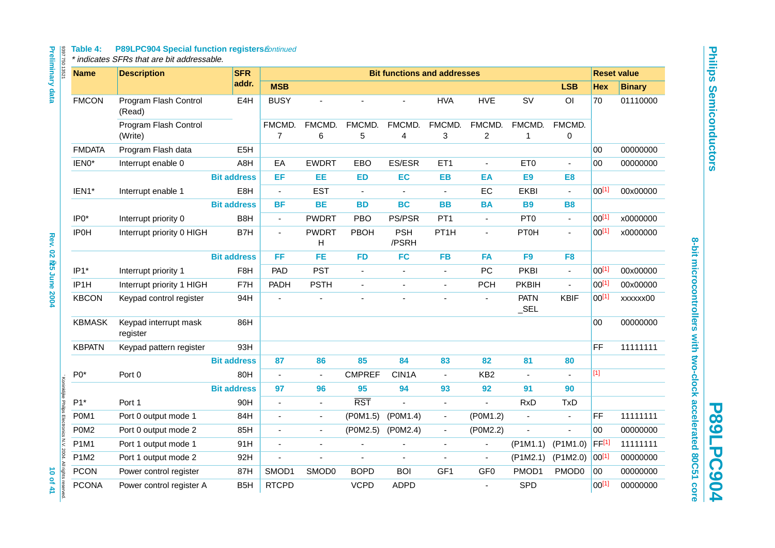#### **Table 4: P89LPC904 Special function registers** continued

| 1397 750 13521                                                 | <b>Name</b>   | <b>Description</b>                | <b>SFR</b>         |                          |                          |                | <b>Bit functions and addresses</b> |                   |                          |                        |                |            | <b>Reset value</b> |
|----------------------------------------------------------------|---------------|-----------------------------------|--------------------|--------------------------|--------------------------|----------------|------------------------------------|-------------------|--------------------------|------------------------|----------------|------------|--------------------|
| Preliminary data                                               |               |                                   | addr.              | <b>MSB</b>               |                          |                |                                    |                   |                          |                        | <b>LSB</b>     | Hex        | <b>Binary</b>      |
|                                                                | <b>FMCON</b>  | Program Flash Control<br>(Read)   | E4H                | <b>BUSY</b>              |                          |                |                                    | <b>HVA</b>        | <b>HVE</b>               | SV                     | O <sub>l</sub> | 70         | 01110000           |
|                                                                |               | Program Flash Control<br>(Write)  |                    | FMCMD.<br>$\overline{7}$ | FMCMD.<br>6              | FMCMD.<br>5    | FMCMD.<br>$\overline{4}$           | FMCMD.<br>3       | FMCMD.<br>$\overline{2}$ | FMCMD.<br>$\mathbf{1}$ | FMCMD.<br>0    |            |                    |
|                                                                | <b>FMDATA</b> | Program Flash data                | E <sub>5</sub> H   |                          |                          |                |                                    |                   |                          |                        |                | 00         | 00000000           |
|                                                                | IEN0*         | Interrupt enable 0                | A8H                | EA                       | <b>EWDRT</b>             | EBO            | ES/ESR                             | ET1               | $\blacksquare$           | ET <sub>0</sub>        | $\blacksquare$ | 00         | 00000000           |
|                                                                |               |                                   | <b>Bit address</b> | EF                       | EE                       | <b>ED</b>      | EC                                 | <b>EB</b>         | EA                       | E9                     | E <sub>8</sub> |            |                    |
|                                                                | IEN1*         | Interrupt enable 1                | E8H                | $\blacksquare$           | <b>EST</b>               | $\blacksquare$ |                                    | $\blacksquare$    | EC                       | <b>EKBI</b>            | $\blacksquare$ | $00^{[1]}$ | 00x00000           |
|                                                                |               |                                   | <b>Bit address</b> | <b>BF</b>                | <b>BE</b>                | <b>BD</b>      | <b>BC</b>                          | <b>BB</b>         | <b>BA</b>                | <b>B9</b>              | <b>B8</b>      |            |                    |
|                                                                | IP0*          | Interrupt priority 0              | B <sub>8</sub> H   | $\overline{\phantom{a}}$ | <b>PWDRT</b>             | <b>PBO</b>     | PS/PSR                             | PT <sub>1</sub>   | $\overline{\phantom{a}}$ | PT <sub>0</sub>        | $\blacksquare$ | $00^{[1]}$ | x0000000           |
| <b>Rev. 02</b>                                                 | <b>IP0H</b>   | Interrupt priority 0 HIGH         | B7H                | $\overline{a}$           | <b>PWDRT</b><br>H        | PBOH           | <b>PSH</b><br>/PSRH                | PT <sub>1</sub> H | $\overline{a}$           | <b>PT0H</b>            | $\mathbf{r}$   | $00^{[1]}$ | x0000000           |
|                                                                |               |                                   | <b>Bit address</b> | FF                       | FE                       | <b>FD</b>      | <b>FC</b>                          | <b>FB</b>         | <b>FA</b>                | F <sub>9</sub>         | F <sub>8</sub> |            |                    |
|                                                                | IP1*          | Interrupt priority 1              | F <sub>8</sub> H   | PAD                      | <b>PST</b>               |                |                                    |                   | PC                       | <b>PKBI</b>            | $\omega$       | $00^{[1]}$ | 00x00000           |
|                                                                | IP1H          | Interrupt priority 1 HIGH         | F7H                | PADH                     | <b>PSTH</b>              |                |                                    |                   | <b>PCH</b>               | <b>PKBIH</b>           | ÷,             | $00^{[1]}$ | 00x00000           |
| <b>25 June 2004</b>                                            | <b>KBCON</b>  | Keypad control register           | 94H                | $\blacksquare$           |                          |                |                                    | ä,                | $\blacksquare$           | <b>PATN</b><br>$\_SEL$ | <b>KBIF</b>    | $00^{[1]}$ | xxxxxx00           |
|                                                                | <b>KBMASK</b> | Keypad interrupt mask<br>register | 86H                |                          |                          |                |                                    |                   |                          |                        |                | 00         | 00000000           |
|                                                                | <b>KBPATN</b> | Keypad pattern register           | 93H                |                          |                          |                |                                    |                   |                          |                        |                | <b>FF</b>  | 11111111           |
|                                                                |               |                                   | <b>Bit address</b> | 87                       | 86                       | 85             | 84                                 | 83                | 82                       | 81                     | 80             |            |                    |
|                                                                | $P0*$         | Port 0                            | 80H                | $\blacksquare$           | $\blacksquare$           | <b>CMPREF</b>  | CIN1A                              | ÷,                | KB <sub>2</sub>          |                        |                | $[1]$      |                    |
|                                                                |               |                                   | <b>Bit address</b> | 97                       | 96                       | 95             | 94                                 | 93                | 92                       | 91                     | 90             |            |                    |
|                                                                | $P1*$         | Port 1                            | 90H                | $\blacksquare$           | $\overline{\phantom{a}}$ | <b>RST</b>     |                                    | $\blacksquare$    | $\blacksquare$           | <b>RxD</b>             | <b>TxD</b>     |            |                    |
|                                                                | P0M1          | Port 0 output mode 1              | 84H                | ä,                       | $\blacksquare$           | (P0M1.5)       | (POM1.4)                           | $\blacksquare$    | (P0M1.2)                 | $\blacksquare$         | $\blacksquare$ | FF         | 11111111           |
|                                                                | P0M2          | Port 0 output mode 2              | 85H                | $\blacksquare$           | $\blacksquare$           | (P0M2.5)       | (P0M2.4)                           | $\blacksquare$    | (P0M2.2)                 |                        |                | 00         | 00000000           |
|                                                                | P1M1          | Port 1 output mode 1              | 91H                | ä,                       | ÷,                       |                |                                    | $\blacksquare$    | $\sim$                   | $($ P1M1.1)            | $($ P1M1.0)    | FF[1]      | 11111111           |
| Koninklijke Philips Electronics N.V. 2004. All rights reserved | P1M2          | Port 1 output mode 2              | 92H                |                          | $\overline{a}$           |                | $\overline{a}$                     |                   | $\overline{a}$           | (P1M2.1)               | (P1M2.0)       | $00^{[1]}$ | 00000000           |
| 10 of 41                                                       | <b>PCON</b>   | Power control register            | 87H                | SMOD1                    | SMOD <sub>0</sub>        | <b>BOPD</b>    | <b>BOI</b>                         | GF <sub>1</sub>   | GF <sub>0</sub>          | PMOD1                  | PMOD0          | $00\,$     | 00000000           |
|                                                                | <b>PCONA</b>  | Power control register A          | B <sub>5</sub> H   | <b>RTCPD</b>             |                          | <b>VCPD</b>    | <b>ADPD</b>                        |                   | ÷,                       | <b>SPD</b>             |                | $00^{[1]}$ | 00000000           |

**Philips Semiconductors Philips Semiconductors**

8-bit microcontrollers with two-clock accelerated 80C51 core **8-bit microcontrollers with two-clock accelerated 80C51 core**

**P89LPC904**

**P89LPC904**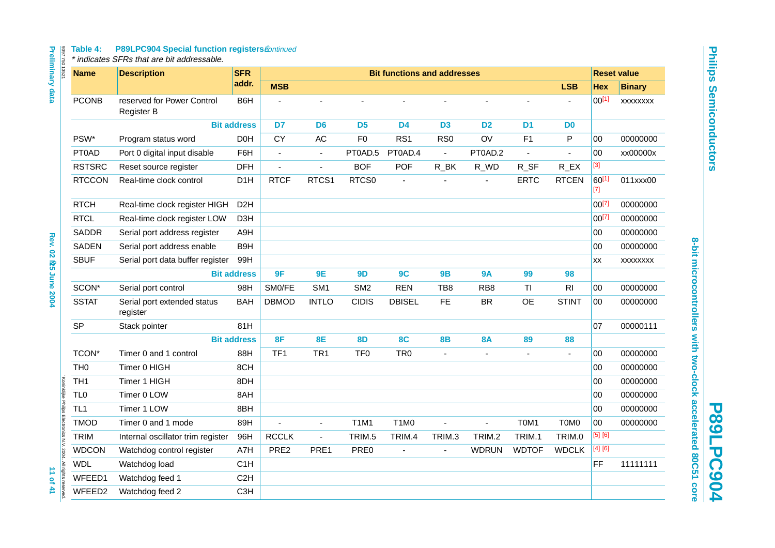# Table 4: P89LPC904 Special function registers continued<br>\* indicates SFRs that are bit addressable.

| <b>Preliminary</b><br>1397 750 13521                           | <b>Name</b>     | <b>Description</b>                       | <b>SFR</b>         |                 |                          |                 | <b>Bit functions and addresses</b> |                 |                 |                |                               |                | <b>Reset value</b> |
|----------------------------------------------------------------|-----------------|------------------------------------------|--------------------|-----------------|--------------------------|-----------------|------------------------------------|-----------------|-----------------|----------------|-------------------------------|----------------|--------------------|
|                                                                |                 |                                          | addr.              | <b>MSB</b>      |                          |                 |                                    |                 |                 |                | <b>LSB</b>                    | <b>Hex</b>     | <b>Binary</b>      |
| data                                                           | <b>PCONB</b>    | reserved for Power Control<br>Register B | B6H                |                 |                          |                 |                                    |                 |                 |                |                               | $00^{[1]}$     | <b>XXXXXXXX</b>    |
|                                                                |                 |                                          | <b>Bit address</b> | D7              | D <sub>6</sub>           | D <sub>5</sub>  | <b>D4</b>                          | D <sub>3</sub>  | D <sub>2</sub>  | D <sub>1</sub> | D <sub>0</sub>                |                |                    |
|                                                                | PSW*            | Program status word                      | <b>DOH</b>         | <b>CY</b>       | AC                       | F <sub>0</sub>  | RS <sub>1</sub>                    | RS <sub>0</sub> | OV              | F <sub>1</sub> | ${\sf P}$                     | 00             | 00000000           |
|                                                                | PT0AD           | Port 0 digital input disable             | F6H                | $\blacksquare$  | $\overline{\phantom{a}}$ | PT0AD.5         | PT0AD.4                            | $\blacksquare$  | PT0AD.2         | ÷,             | ä,                            | 00             | xx00000x           |
|                                                                | <b>RSTSRC</b>   | Reset source register                    | <b>DFH</b>         | $\frac{1}{2}$   | ÷.                       | <b>BOF</b>      | <b>POF</b>                         | R_BK            | R_WD            | R_SF           | $R$ <sub>_</sub> $EX$         | $[3]$          |                    |
|                                                                | <b>RTCCON</b>   | Real-time clock control                  | D <sub>1</sub> H   | <b>RTCF</b>     | RTCS1                    | RTCS0           |                                    |                 | ÷,              | <b>ERTC</b>    | <b>RTCEN</b>                  | 60[1]<br>$[7]$ | 011xxx00           |
|                                                                | <b>RTCH</b>     | Real-time clock register HIGH            | D <sub>2</sub> H   |                 |                          |                 |                                    |                 |                 |                |                               | $00^{[7]}$     | 00000000           |
| <b>Rev. 02</b>                                                 | <b>RTCL</b>     | Real-time clock register LOW             | D <sub>3</sub> H   |                 |                          |                 |                                    |                 |                 |                |                               | $00^{[7]}$     | 00000000           |
|                                                                | <b>SADDR</b>    | Serial port address register             | A9H                |                 |                          |                 |                                    |                 |                 |                |                               | $00\,$         | 00000000           |
|                                                                | <b>SADEN</b>    | Serial port address enable               | B <sub>9H</sub>    |                 |                          |                 |                                    |                 |                 |                |                               | 00             | 00000000           |
|                                                                | <b>SBUF</b>     | Serial port data buffer register         | 99H                |                 |                          |                 |                                    |                 |                 |                |                               | XX             | <b>XXXXXXXX</b>    |
| <b>25 June 2004</b>                                            |                 |                                          | <b>Bit address</b> | 9F              | <b>9E</b>                | <b>9D</b>       | 9C                                 | <b>9B</b>       | <b>9A</b>       | 99             | 98                            |                |                    |
|                                                                | SCON*           | Serial port control                      | 98H                | SM0/FE          | SM <sub>1</sub>          | SM <sub>2</sub> | <b>REN</b>                         | TB8             | RB <sub>8</sub> | TI             | R <sub>l</sub>                | 00             | 00000000           |
|                                                                | <b>SSTAT</b>    | Serial port extended status<br>register  | <b>BAH</b>         | <b>DBMOD</b>    | <b>INTLO</b>             | <b>CIDIS</b>    | <b>DBISEL</b>                      | <b>FE</b>       | <b>BR</b>       | <b>OE</b>      | <b>STINT</b>                  | 00             | 00000000           |
|                                                                | <b>SP</b>       | Stack pointer                            | 81H                |                 |                          |                 |                                    |                 |                 |                |                               | 07             | 00000111           |
|                                                                |                 |                                          | <b>Bit address</b> | 8F              | <b>8E</b>                | <b>8D</b>       | <b>8C</b>                          | <b>8B</b>       | <b>8A</b>       | 89             | 88                            |                |                    |
|                                                                | TCON*           | Timer 0 and 1 control                    | 88H                | TF <sub>1</sub> | TR <sub>1</sub>          | TF <sub>0</sub> | TR <sub>0</sub>                    |                 | $\blacksquare$  |                | $\tilde{\phantom{a}}$         | 00             | 00000000           |
|                                                                | TH <sub>0</sub> | Timer 0 HIGH                             | 8CH                |                 |                          |                 |                                    |                 |                 |                |                               | 00             | 00000000           |
|                                                                | TH <sub>1</sub> | Timer 1 HIGH                             | 8DH                |                 |                          |                 |                                    |                 |                 |                |                               | 00             | 00000000           |
|                                                                | TL <sub>0</sub> | Timer 0 LOW                              | 8AH                |                 |                          |                 |                                    |                 |                 |                |                               | 00             | 00000000           |
|                                                                | TL <sub>1</sub> | Timer 1 LOW                              | 8BH                |                 |                          |                 |                                    |                 |                 |                |                               | 00             | 00000000           |
|                                                                | <b>TMOD</b>     | Timer 0 and 1 mode                       | 89H                |                 | ÷,                       | <b>T1M1</b>     | T <sub>1</sub> M <sub>0</sub>      | ÷,              | ÷,              | T0M1           | T <sub>0</sub> M <sub>0</sub> | 00             | 00000000           |
|                                                                | <b>TRIM</b>     | Internal oscillator trim register        | 96H                | <b>RCCLK</b>    | $\overline{a}$           | TRIM.5          | TRIM.4                             | TRIM.3          | TRIM.2          | TRIM.1         | TRIM.0                        | [5] [6]        |                    |
|                                                                | <b>WDCON</b>    | Watchdog control register                | A7H                | PRE2            | PRE1                     | PRE0            | ÷,                                 |                 | <b>WDRUN</b>    | <b>WDTOF</b>   | <b>WDCLK</b>                  | [4] [6]        |                    |
| Koninklijke Philips Electronics N.V. 2004. All rights reserved | <b>WDL</b>      | Watchdog load                            | C <sub>1</sub> H   |                 |                          |                 |                                    |                 |                 |                |                               | <b>FF</b>      | 11111111           |
| 11 of 41                                                       | WFEED1          | Watchdog feed 1                          | C <sub>2</sub> H   |                 |                          |                 |                                    |                 |                 |                |                               |                |                    |
|                                                                | WFEED2          | Watchdog feed 2                          | C <sub>3</sub> H   |                 |                          |                 |                                    |                 |                 |                |                               |                |                    |

**Philips Semiconductors Philips Semiconductors**

**P89LPC904**

**P89LPC904** 

**8-bit microcontrollers with two-clock accelerated 80C51 core**

8-bit microcontrollers with two-clock accelerated 80C51 core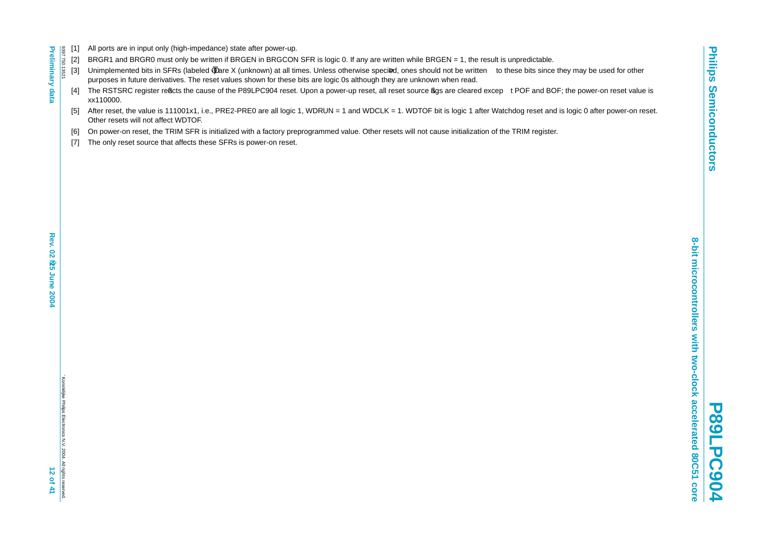- <span id="page-11-6"></span><span id="page-11-5"></span><span id="page-11-4"></span><span id="page-11-3"></span><span id="page-11-2"></span><span id="page-11-1"></span>
- <span id="page-11-0"></span>9397 750 13521
- $\frac{3}{2}$  (b) A state is using the profession and and the teachers) and is copied to any such as the CS-1. The action of the control of the state of the control of the control of the control of the control of the control
	-
	-
	-

**P89LPC904**

**P89LPC904**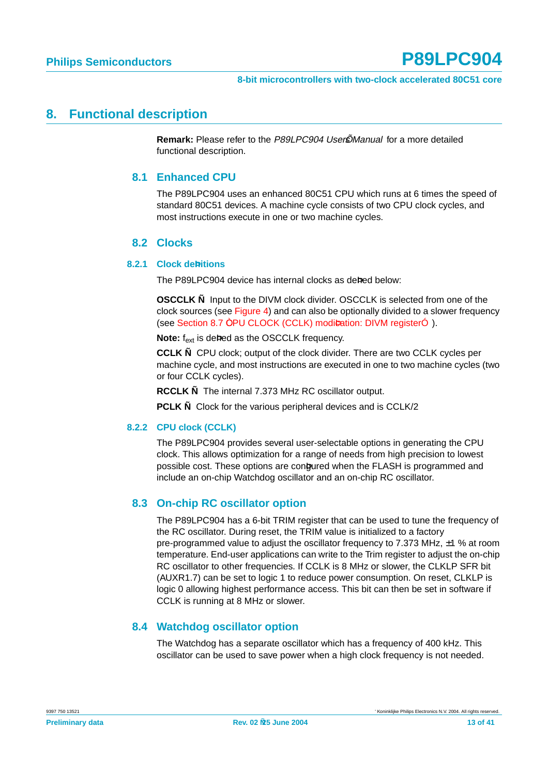### <span id="page-12-3"></span><span id="page-12-2"></span>**8. Functional description**

**Remark:** Please refer to the P89LPC904 User s Manual for a more detailed functional description.

### **8.1 Enhanced CPU**

The P89LPC904 uses an enhanced 80C51 CPU which runs at 6 times the speed of standard 80C51 devices. A machine cycle consists of two CPU clock cycles, and most instructions execute in one or two machine cycles.

#### **8.2 Clocks**

#### <span id="page-12-4"></span><span id="page-12-0"></span>**8.2.1 Clock de nitions**

The P89LPC904 device has internal clocks as de ned below:

**OSCCLK** Input to the DIVM clock divider. OSCCLK is selected from one of the clock sources (see [Figure 4](#page-13-0)) and can also be optionally divided to a slower frequency (see Section 8.7 CPU CLOCK (CCLK) modi cation: DIVM register).

**Note:** f<sub>ext</sub> is de ned as the OSCCLK frequency.

**CCLK** CPU clock; output of the clock divider. There are two CCLK cycles per machine cycle, and most instructions are executed in one to two machine cycles (two or four CCLK cycles).

**RCCLK** The internal 7.373 MHz RC oscillator output.

**PCLK** Clock for the various peripheral devices and is CCLK/2

#### <span id="page-12-1"></span>**8.2.2 CPU clock (CCLK)**

The P89LPC904 provides several user-selectable options in generating the CPU clock. This allows optimization for a range of needs from high precision to lowest possible cost. These options are con gured when the FLASH is programmed and include an on-chip Watchdog oscillator and an on-chip RC oscillator.

#### <span id="page-12-5"></span>**8.3 On-chip RC oscillator option**

The P89LPC904 has a 6-bit TRIM register that can be used to tune the frequency of the RC oscillator. During reset, the TRIM value is initialized to a factory pre-programmed value to adjust the oscillator frequency to 7.373 MHz, ±1 % at room temperature. End-user applications can write to the Trim register to adjust the on-chip RC oscillator to other frequencies. If CCLK is 8 MHz or slower, the CLKLP SFR bit (AUXR1.7) can be set to logic 1 to reduce power consumption. On reset, CLKLP is logic 0 allowing highest performance access. This bit can then be set in software if CCLK is running at 8 MHz or slower.

#### <span id="page-12-6"></span>**8.4 Watchdog oscillator option**

The Watchdog has a separate oscillator which has a frequency of 400 kHz. This oscillator can be used to save power when a high clock frequency is not needed.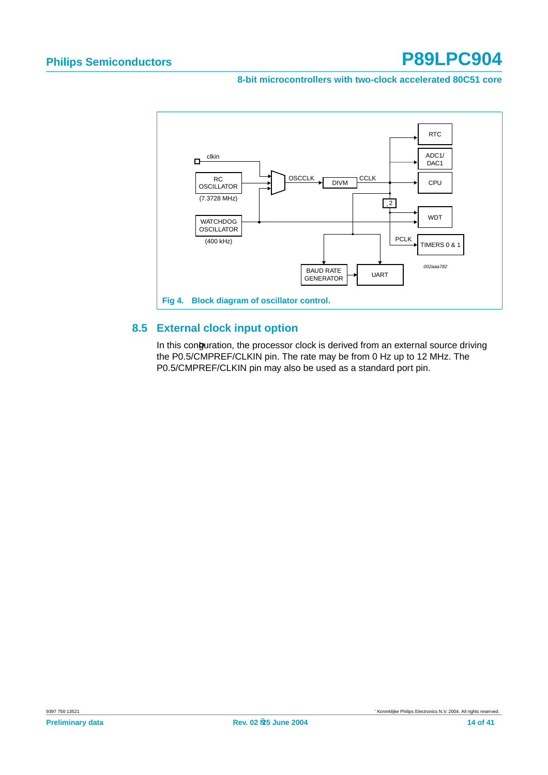**8-bit microcontrollers with two-clock accelerated 80C51 core**



### <span id="page-13-1"></span><span id="page-13-0"></span>**8.5 External clock input option**

In this con guration, the processor clock is derived from an external source driving the P0.5/CMPREF/CLKIN pin. The rate may be from 0 Hz up to 12 MHz. The P0.5/CMPREF/CLKIN pin may also be used as a standard port pin.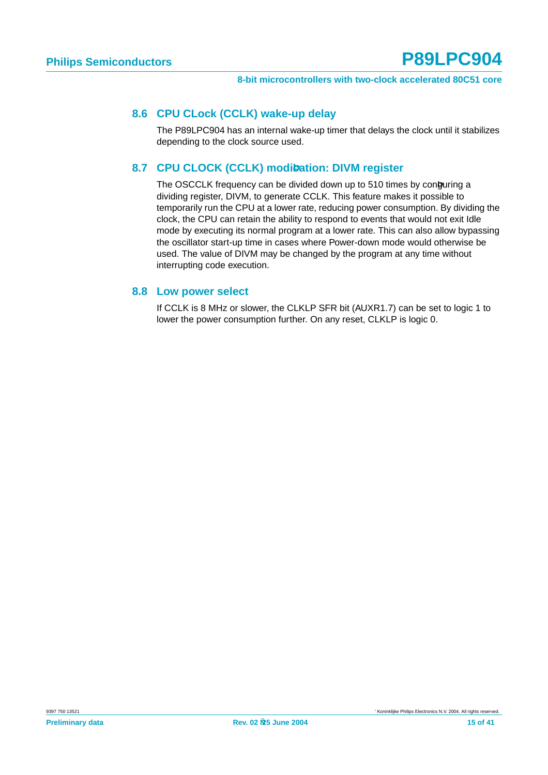#### <span id="page-14-1"></span>**8.6 CPU CLock (CCLK) wake-up delay**

The P89LPC904 has an internal wake-up timer that delays the clock until it stabilizes depending to the clock source used.

### <span id="page-14-0"></span>**8.7 CPU CLOCK (CCLK) modi cation: DIVM register**

The OSCCLK frequency can be divided down up to 510 times by con guring a dividing register, DIVM, to generate CCLK. This feature makes it possible to temporarily run the CPU at a lower rate, reducing power consumption. By dividing the clock, the CPU can retain the ability to respond to events that would not exit Idle mode by executing its normal program at a lower rate. This can also allow bypassing the oscillator start-up time in cases where Power-down mode would otherwise be used. The value of DIVM may be changed by the program at any time without interrupting code execution.

#### <span id="page-14-2"></span>**8.8 Low power select**

If CCLK is 8 MHz or slower, the CLKLP SFR bit (AUXR1.7) can be set to logic 1 to lower the power consumption further. On any reset, CLKLP is logic 0.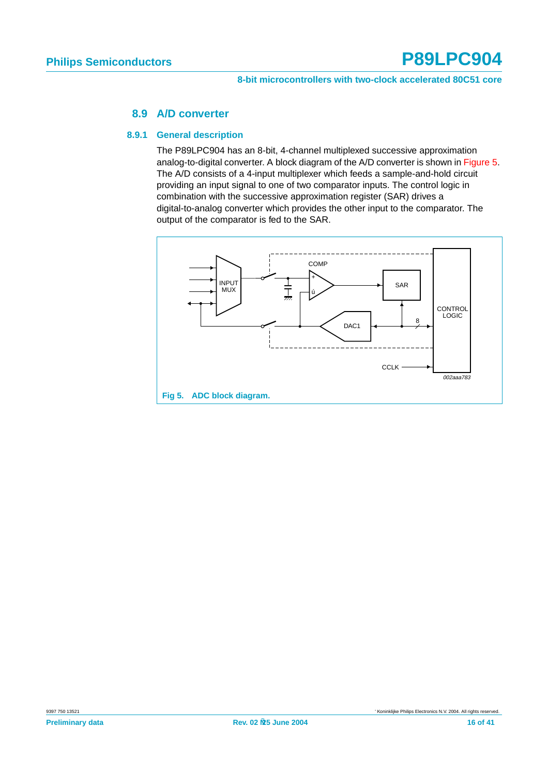#### **8.9 A/D converter**

#### <span id="page-15-2"></span><span id="page-15-1"></span>**8.9.1 General description**

The P89LPC904 has an 8-bit, 4-channel multiplexed successive approximation analog-to-digital converter. A block diagram of the A/D converter is shown in [Figure 5](#page-15-0). The A/D consists of a 4-input multiplexer which feeds a sample-and-hold circuit providing an input signal to one of two comparator inputs. The control logic in combination with the successive approximation register (SAR) drives a digital-to-analog converter which provides the other input to the comparator. The output of the comparator is fed to the SAR.

<span id="page-15-0"></span>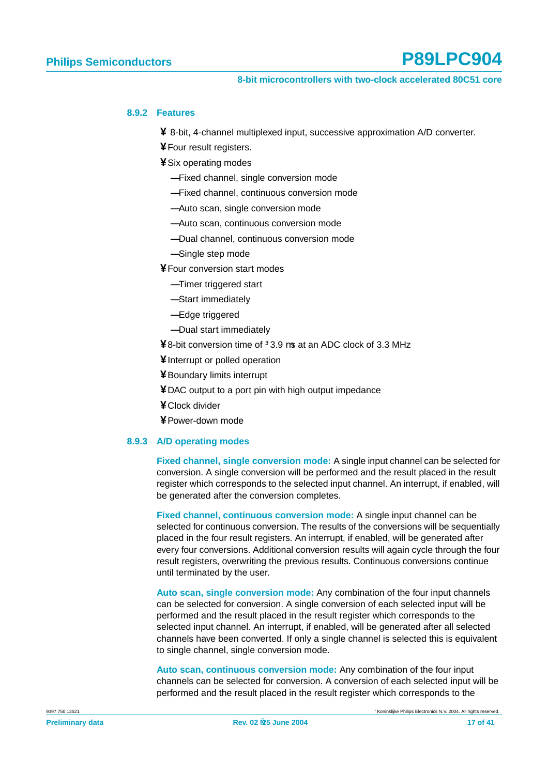#### **8-bit microcontrollers with two-clock accelerated 80C51 core**

#### <span id="page-16-0"></span>**8.9.2 Features**

**¥** 8-bit, 4-channel multiplexed input, successive approximation A/D converter.

**¥**Four result registers.

- **¥**Six operating modes
	- **—**Fixed channel, single conversion mode
	- **—**Fixed channel, continuous conversion mode
	- **—**Auto scan, single conversion mode
	- **—**Auto scan, continuous conversion mode
	- **—**Dual channel, continuous conversion mode
	- **—**Single step mode
- **¥**Four conversion start modes
	- **—**Timer triggered start
	- **—**Start immediately
	- **—**Edge triggered
	- **—**Dual start immediately
- **¥**8-bit conversion time of ≥3.9 µs at an ADC clock of 3.3 MHz
- **¥**Interrupt or polled operation
- **¥**Boundary limits interrupt
- **¥**DAC output to a port pin with high output impedance
- **¥**Clock divider
- **¥**Power-down mode

#### <span id="page-16-1"></span>**8.9.3 A/D operating modes**

**Fixed channel, single conversion mode:** A single input channel can be selected for conversion. A single conversion will be performed and the result placed in the result register which corresponds to the selected input channel. An interrupt, if enabled, will be generated after the conversion completes.

**Fixed channel, continuous conversion mode:** A single input channel can be selected for continuous conversion. The results of the conversions will be sequentially placed in the four result registers. An interrupt, if enabled, will be generated after every four conversions. Additional conversion results will again cycle through the four result registers, overwriting the previous results. Continuous conversions continue until terminated by the user.

**Auto scan, single conversion mode:** Any combination of the four input channels can be selected for conversion. A single conversion of each selected input will be performed and the result placed in the result register which corresponds to the selected input channel. An interrupt, if enabled, will be generated after all selected channels have been converted. If only a single channel is selected this is equivalent to single channel, single conversion mode.

**Auto scan, continuous conversion mode:** Any combination of the four input channels can be selected for conversion. A conversion of each selected input will be performed and the result placed in the result register which corresponds to the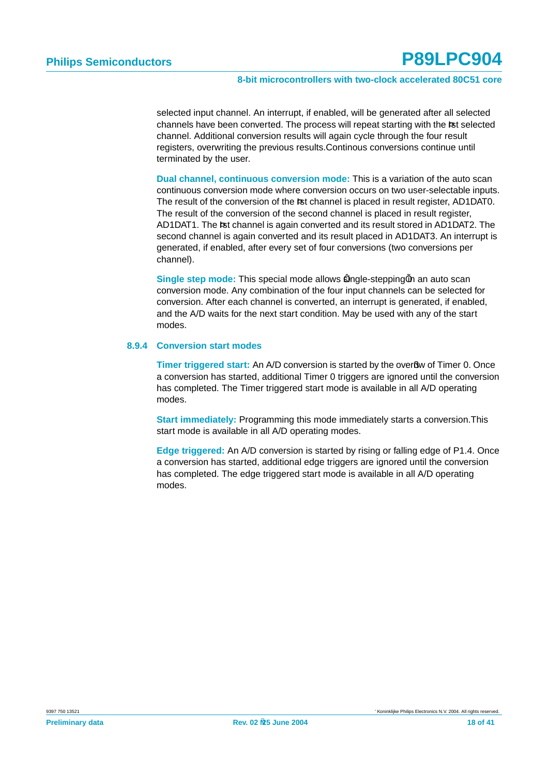#### **8-bit microcontrollers with two-clock accelerated 80C51 core**

selected input channel. An interrupt, if enabled, will be generated after all selected channels have been converted. The process will repeat starting with the rst selected channel. Additional conversion results will again cycle through the four result registers, overwriting the previous results.Continous conversions continue until terminated by the user.

**Dual channel, continuous conversion mode:** This is a variation of the auto scan continuous conversion mode where conversion occurs on two user-selectable inputs. The result of the conversion of the rst channel is placed in result register, AD1DAT0. The result of the conversion of the second channel is placed in result register, AD1DAT1. The rst channel is again converted and its result stored in AD1DAT2. The second channel is again converted and its result placed in AD1DAT3. An interrupt is generated, if enabled, after every set of four conversions (two conversions per channel).

**Single step mode:** This special mode allows single-stepping in an auto scan conversion mode. Any combination of the four input channels can be selected for conversion. After each channel is converted, an interrupt is generated, if enabled, and the A/D waits for the next start condition. May be used with any of the start modes.

#### <span id="page-17-0"></span>**8.9.4 Conversion start modes**

**Timer triggered start:** An A/D conversion is started by the over ow of Timer 0. Once a conversion has started, additional Timer 0 triggers are ignored until the conversion has completed. The Timer triggered start mode is available in all A/D operating modes.

**Start immediately:** Programming this mode immediately starts a conversion.This start mode is available in all A/D operating modes.

**Edge triggered:** An A/D conversion is started by rising or falling edge of P1.4. Once a conversion has started, additional edge triggers are ignored until the conversion has completed. The edge triggered start mode is available in all A/D operating modes.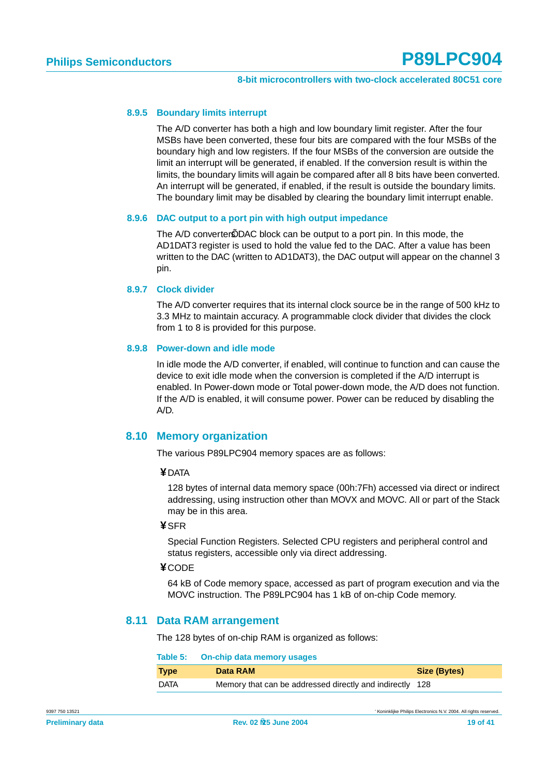#### <span id="page-18-1"></span>**8.9.5 Boundary limits interrupt**

The A/D converter has both a high and low boundary limit register. After the four MSBs have been converted, these four bits are compared with the four MSBs of the boundary high and low registers. If the four MSBs of the conversion are outside the limit an interrupt will be generated, if enabled. If the conversion result is within the limits, the boundary limits will again be compared after all 8 bits have been converted. An interrupt will be generated, if enabled, if the result is outside the boundary limits. The boundary limit may be disabled by clearing the boundary limit interrupt enable.

#### <span id="page-18-2"></span>**8.9.6 DAC output to a port pin with high output impedance**

The A/D converter s DAC block can be output to a port pin. In this mode, the AD1DAT3 register is used to hold the value fed to the DAC. After a value has been written to the DAC (written to AD1DAT3), the DAC output will appear on the channel 3 pin.

#### <span id="page-18-0"></span>**8.9.7 Clock divider**

The A/D converter requires that its internal clock source be in the range of 500 kHz to 3.3 MHz to maintain accuracy. A programmable clock divider that divides the clock from 1 to 8 is provided for this purpose.

#### <span id="page-18-3"></span>**8.9.8 Power-down and idle mode**

In idle mode the A/D converter, if enabled, will continue to function and can cause the device to exit idle mode when the conversion is completed if the A/D interrupt is enabled. In Power-down mode or Total power-down mode, the A/D does not function. If the A/D is enabled, it will consume power. Power can be reduced by disabling the A/D.

#### <span id="page-18-4"></span>**8.10 Memory organization**

The various P89LPC904 memory spaces are as follows:

#### **¥**DATA

128 bytes of internal data memory space (00h:7Fh) accessed via direct or indirect addressing, using instruction other than MOVX and MOVC. All or part of the Stack may be in this area.

#### **¥**SFR

Special Function Registers. Selected CPU registers and peripheral control and status registers, accessible only via direct addressing.

#### **¥**CODE

64 kB of Code memory space, accessed as part of program execution and via the MOVC instruction. The P89LPC904 has 1 kB of on-chip Code memory.

#### <span id="page-18-5"></span>**8.11 Data RAM arrangement**

The 128 bytes of on-chip RAM is organized as follows:

| Table 5: |  | <b>On-chip data memory usages</b> |  |
|----------|--|-----------------------------------|--|
|          |  |                                   |  |

| Type        | Data RAM                                                 | Size (Bytes) |
|-------------|----------------------------------------------------------|--------------|
| <b>DATA</b> | Memory that can be addressed directly and indirectly 128 |              |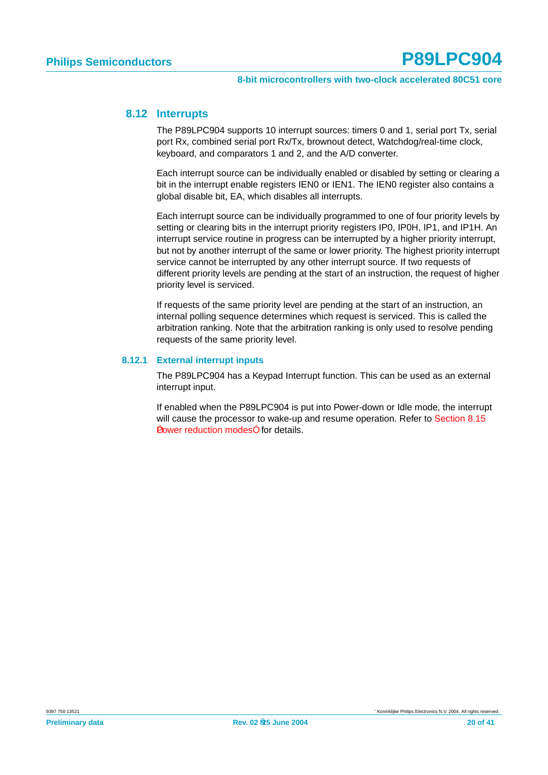#### <span id="page-19-0"></span>**8.12 Interrupts**

The P89LPC904 supports 10 interrupt sources: timers 0 and 1, serial port Tx, serial port Rx, combined serial port Rx/Tx, brownout detect, Watchdog/real-time clock, keyboard, and comparators 1 and 2, and the A/D converter.

Each interrupt source can be individually enabled or disabled by setting or clearing a bit in the interrupt enable registers IEN0 or IEN1. The IEN0 register also contains a global disable bit, EA, which disables all interrupts.

Each interrupt source can be individually programmed to one of four priority levels by setting or clearing bits in the interrupt priority registers IP0, IP0H, IP1, and IP1H. An interrupt service routine in progress can be interrupted by a higher priority interrupt, but not by another interrupt of the same or lower priority. The highest priority interrupt service cannot be interrupted by any other interrupt source. If two requests of different priority levels are pending at the start of an instruction, the request of higher priority level is serviced.

If requests of the same priority level are pending at the start of an instruction, an internal polling sequence determines which request is serviced. This is called the arbitration ranking. Note that the arbitration ranking is only used to resolve pending requests of the same priority level.

#### <span id="page-19-1"></span>**8.12.1 External interrupt inputs**

The P89LPC904 has a Keypad Interrupt function. This can be used as an external interrupt input.

If enabled when the P89LPC904 is put into Power-down or Idle mode, the interrupt will cause the processor to wake-up and resume operation. Refer to [Section 8.15](#page-22-0) Power reduction modes for details.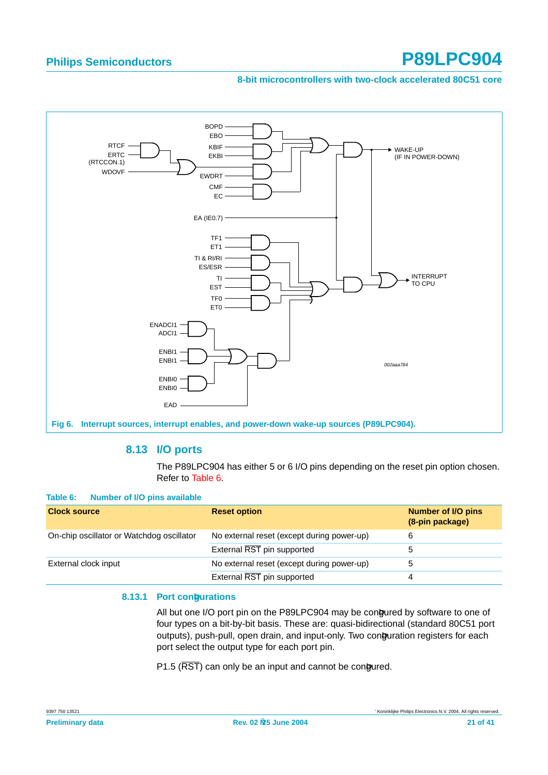#### **8-bit microcontrollers with two-clock accelerated 80C51 core**



### **8.13 I/O ports**

The P89LPC904 has either 5 or 6 I/O pins depending on the reset pin option chosen. Refer to [Table 6](#page-20-1).

<span id="page-20-2"></span><span id="page-20-1"></span>

| Table 6: |  |  |  | Number of I/O pins available |
|----------|--|--|--|------------------------------|
|----------|--|--|--|------------------------------|

| <b>Clock source</b>                       | <b>Reset option</b>                        | <b>Number of I/O pins</b><br>(8-pin package) |
|-------------------------------------------|--------------------------------------------|----------------------------------------------|
| On-chip oscillator or Watchdog oscillator | No external reset (except during power-up) | 6                                            |
|                                           | External RST pin supported                 |                                              |
| External clock input                      | No external reset (except during power-up) | 5                                            |
|                                           | External RST pin supported                 | 4                                            |

#### <span id="page-20-0"></span>**8.13.1 Port con gurations**

All but one I/O port pin on the P89LPC904 may be con gured by software to one of four types on a bit-by-bit basis. These are: quasi-bidirectional (standard 80C51 port outputs), push-pull, open drain, and input-only. Two con guration registers for each port select the output type for each port pin.

P1.5  $(RST)$  can only be an input and cannot be con gured.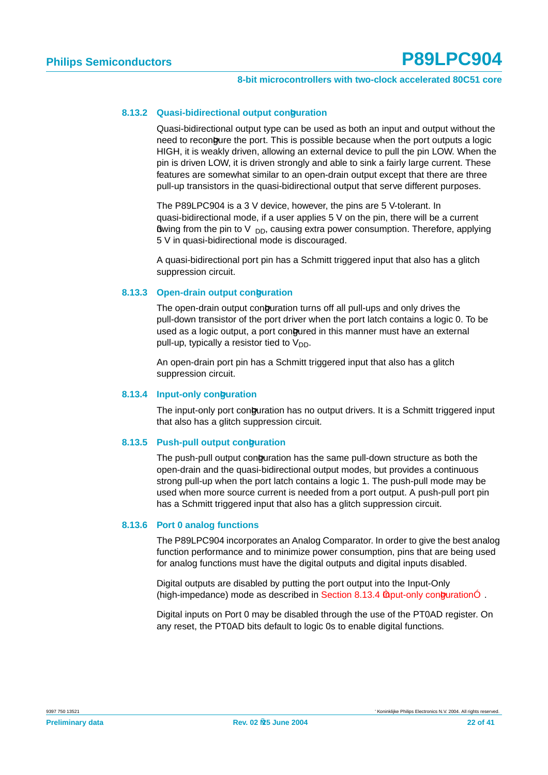#### <span id="page-21-1"></span>**8.13.2 Quasi-bidirectional output con quration**

Quasi-bidirectional output type can be used as both an input and output without the need to recon gure the port. This is possible because when the port outputs a logic HIGH, it is weakly driven, allowing an external device to pull the pin LOW. When the pin is driven LOW, it is driven strongly and able to sink a fairly large current. These features are somewhat similar to an open-drain output except that there are three pull-up transistors in the quasi-bidirectional output that serve different purposes.

The P89LPC904 is a 3 V device, however, the pins are 5 V-tolerant. In quasi-bidirectional mode, if a user applies 5 V on the pin, there will be a current owing from the pin to  $V_{DD}$ , causing extra power consumption. Therefore, applying 5 V in quasi-bidirectional mode is discouraged.

A quasi-bidirectional port pin has a Schmitt triggered input that also has a glitch suppression circuit.

#### <span id="page-21-2"></span>**8.13.3 Open-drain output con quration**

The open-drain output con quration turns off all pull-ups and only drives the pull-down transistor of the port driver when the port latch contains a logic 0. To be used as a logic output, a port con gured in this manner must have an external pull-up, typically a resistor tied to  $V_{DD}$ .

An open-drain port pin has a Schmitt triggered input that also has a glitch suppression circuit.

#### <span id="page-21-0"></span>**8.13.4 Input-only con guration**

The input-only port con quration has no output drivers. It is a Schmitt triggered input that also has a glitch suppression circuit.

#### <span id="page-21-3"></span>**8.13.5 Push-pull output con guration**

The push-pull output con guration has the same pull-down structure as both the open-drain and the quasi-bidirectional output modes, but provides a continuous strong pull-up when the port latch contains a logic 1. The push-pull mode may be used when more source current is needed from a port output. A push-pull port pin has a Schmitt triggered input that also has a glitch suppression circuit.

#### <span id="page-21-4"></span>**8.13.6 Port 0 analog functions**

The P89LPC904 incorporates an Analog Comparator. In order to give the best analog function performance and to minimize power consumption, pins that are being used for analog functions must have the digital outputs and digital inputs disabled.

Digital outputs are disabled by putting the port output into the Input-Only (high-impedance) mode as described in Section 8.13.4 Input-only con guration

Digital inputs on Port 0 may be disabled through the use of the PT0AD register. On any reset, the PT0AD bits default to logic 0s to enable digital functions.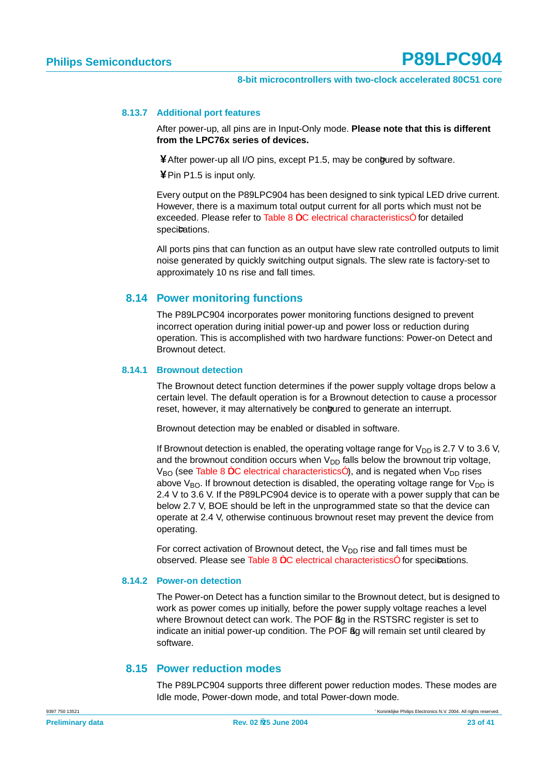#### <span id="page-22-1"></span>**8.13.7 Additional port features**

After power-up, all pins are in Input-Only mode. **Please note that this is different from the LPC76x series of devices.**

**¥** After power-up all I/O pins, except P1.5, may be con qured by software.

**¥**Pin P1.5 is input only.

Every output on the P89LPC904 has been designed to sink typical LED drive current. However, there is a maximum total output current for all ports which must not be exceeded. Please refer to Table 8 DC electrical characteristics for detailed speci cations.

All ports pins that can function as an output have slew rate controlled outputs to limit noise generated by quickly switching output signals. The slew rate is factory-set to approximately 10 ns rise and fall times.

### <span id="page-22-2"></span>**8.14 Power monitoring functions**

The P89LPC904 incorporates power monitoring functions designed to prevent incorrect operation during initial power-up and power loss or reduction during operation. This is accomplished with two hardware functions: Power-on Detect and Brownout detect.

#### <span id="page-22-3"></span>**8.14.1 Brownout detection**

The Brownout detect function determines if the power supply voltage drops below a certain level. The default operation is for a Brownout detection to cause a processor reset, however, it may alternatively be con gured to generate an interrupt.

Brownout detection may be enabled or disabled in software.

If Brownout detection is enabled, the operating voltage range for  $V_{DD}$  is 2.7 V to 3.6 V, and the brownout condition occurs when  $V_{DD}$  falls below the brownout trip voltage,  $V_{BO}$  (see Table 8 DC electrical characteristics), and is negated when  $V_{DD}$  rises above  $V_{BO}$ . If brownout detection is disabled, the operating voltage range for  $V_{DD}$  is 2.4 V to 3.6 V. If the P89LPC904 device is to operate with a power supply that can be below 2.7 V, BOE should be left in the unprogrammed state so that the device can operate at 2.4 V, otherwise continuous brownout reset may prevent the device from operating.

For correct activation of Brownout detect, the  $V_{DD}$  rise and fall times must be observed. Please see Table 8 DC electrical characteristics for speci cations.

#### <span id="page-22-4"></span>**8.14.2 Power-on detection**

The Power-on Detect has a function similar to the Brownout detect, but is designed to work as power comes up initially, before the power supply voltage reaches a level where Brownout detect can work. The POF ag in the RSTSRC register is set to indicate an initial power-up condition. The POF ag will remain set until cleared by software.

#### <span id="page-22-0"></span>**8.15 Power reduction modes**

The P89LPC904 supports three different power reduction modes. These modes are Idle mode, Power-down mode, and total Power-down mode.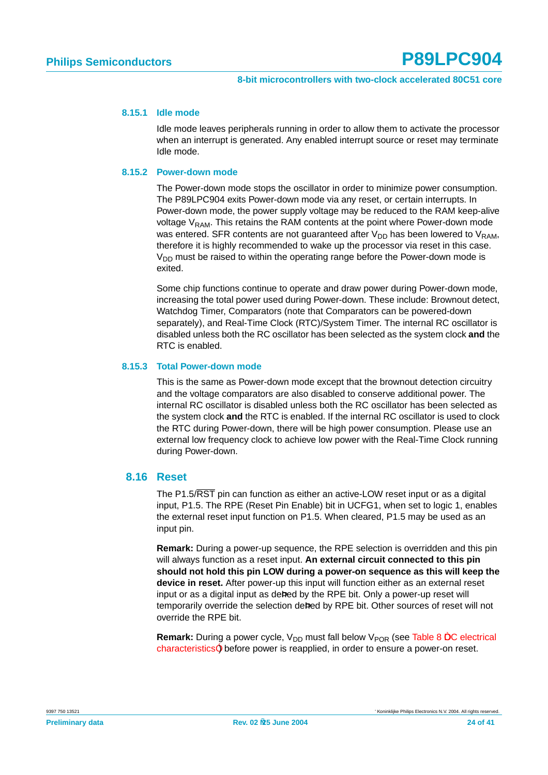#### <span id="page-23-0"></span>**8.15.1 Idle mode**

Idle mode leaves peripherals running in order to allow them to activate the processor when an interrupt is generated. Any enabled interrupt source or reset may terminate Idle mode.

#### <span id="page-23-1"></span>**8.15.2 Power-down mode**

The Power-down mode stops the oscillator in order to minimize power consumption. The P89LPC904 exits Power-down mode via any reset, or certain interrupts. In Power-down mode, the power supply voltage may be reduced to the RAM keep-alive voltage  $V_{RAM}$ . This retains the RAM contents at the point where Power-down mode was entered. SFR contents are not guaranteed after  $V_{DD}$  has been lowered to  $V_{RAM}$ , therefore it is highly recommended to wake up the processor via reset in this case.  $V<sub>DD</sub>$  must be raised to within the operating range before the Power-down mode is exited.

Some chip functions continue to operate and draw power during Power-down mode, increasing the total power used during Power-down. These include: Brownout detect, Watchdog Timer, Comparators (note that Comparators can be powered-down separately), and Real-Time Clock (RTC)/System Timer. The internal RC oscillator is disabled unless both the RC oscillator has been selected as the system clock **and** the RTC is enabled.

#### <span id="page-23-2"></span>**8.15.3 Total Power-down mode**

This is the same as Power-down mode except that the brownout detection circuitry and the voltage comparators are also disabled to conserve additional power. The internal RC oscillator is disabled unless both the RC oscillator has been selected as the system clock **and** the RTC is enabled. If the internal RC oscillator is used to clock the RTC during Power-down, there will be high power consumption. Please use an external low frequency clock to achieve low power with the Real-Time Clock running during Power-down.

#### <span id="page-23-3"></span>**8.16 Reset**

The P1.5/RST pin can function as either an active-LOW reset input or as a digital input, P1.5. The RPE (Reset Pin Enable) bit in UCFG1, when set to logic 1, enables the external reset input function on P1.5. When cleared, P1.5 may be used as an input pin.

**Remark:** During a power-up sequence, the RPE selection is overridden and this pin will always function as a reset input. **An external circuit connected to this pin should not hold this pin LOW during a power-on sequence as this will keep the device in reset.** After power-up this input will function either as an external reset input or as a digital input as de ned by the RPE bit. Only a power-up reset will temporarily override the selection de ned by RPE bit. Other sources of reset will not override the RPE bit.

**Remark:** During a power cycle,  $V_{DD}$  must fall below  $V_{POR}$  (see Table 8 DC electrical characteristics) before power is reapplied, in order to ensure a power-on reset.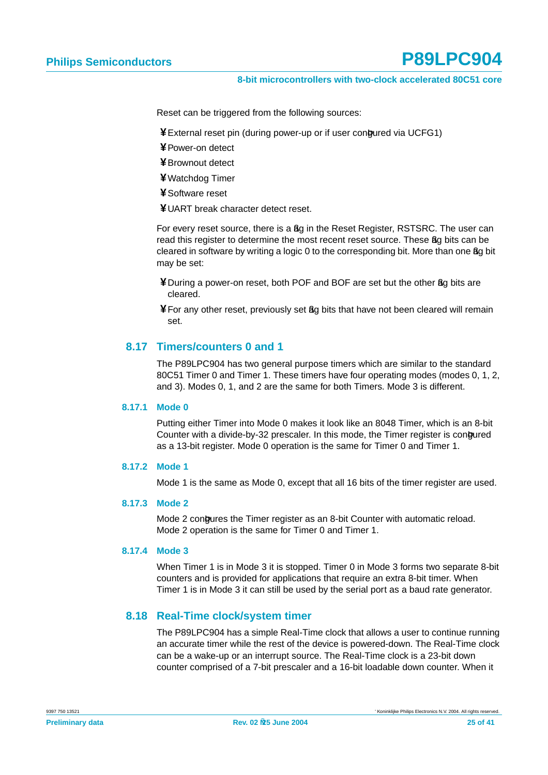#### **8-bit microcontrollers with two-clock accelerated 80C51 core**

Reset can be triggered from the following sources:

¥External reset pin (during power-up or if user con gured via UCFG1)

**¥**Power-on detect

**¥**Brownout detect

**¥**Watchdog Timer

**¥**Software reset

**¥**UART break character detect reset.

For every reset source, there is a ag in the Reset Register, RSTSRC. The user can read this register to determine the most recent reset source. These ag bits can be cleared in software by writing a logic 0 to the corresponding bit. More than one ag bit may be set:

¥During a power-on reset, both POF and BOF are set but the other ag bits are cleared.

¥ For any other reset, previously set ag bits that have not been cleared will remain set.

#### <span id="page-24-0"></span>**8.17 Timers/counters 0 and 1**

The P89LPC904 has two general purpose timers which are similar to the standard 80C51 Timer 0 and Timer 1. These timers have four operating modes (modes 0, 1, 2, and 3). Modes 0, 1, and 2 are the same for both Timers. Mode 3 is different.

#### <span id="page-24-1"></span>**8.17.1 Mode 0**

Putting either Timer into Mode 0 makes it look like an 8048 Timer, which is an 8-bit Counter with a divide-by-32 prescaler. In this mode, the Timer register is con qured as a 13-bit register. Mode 0 operation is the same for Timer 0 and Timer 1.

#### <span id="page-24-2"></span>**8.17.2 Mode 1**

Mode 1 is the same as Mode 0, except that all 16 bits of the timer register are used.

#### <span id="page-24-3"></span>**8.17.3 Mode 2**

Mode 2 con gures the Timer register as an 8-bit Counter with automatic reload. Mode 2 operation is the same for Timer 0 and Timer 1.

#### <span id="page-24-4"></span>**8.17.4 Mode 3**

When Timer 1 is in Mode 3 it is stopped. Timer 0 in Mode 3 forms two separate 8-bit counters and is provided for applications that require an extra 8-bit timer. When Timer 1 is in Mode 3 it can still be used by the serial port as a baud rate generator.

#### <span id="page-24-5"></span>**8.18 Real-Time clock/system timer**

The P89LPC904 has a simple Real-Time clock that allows a user to continue running an accurate timer while the rest of the device is powered-down. The Real-Time clock can be a wake-up or an interrupt source. The Real-Time clock is a 23-bit down counter comprised of a 7-bit prescaler and a 16-bit loadable down counter. When it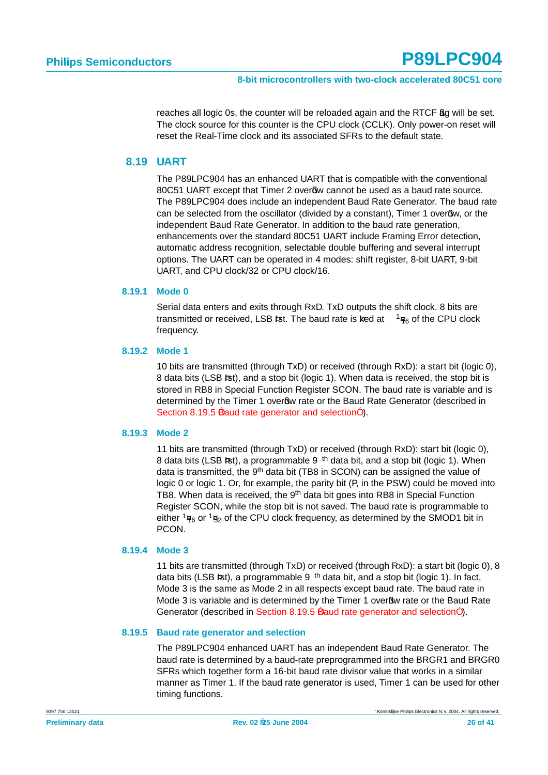reaches all logic 0s, the counter will be reloaded again and the RTCF ag will be set. The clock source for this counter is the CPU clock (CCLK). Only power-on reset will reset the Real-Time clock and its associated SFRs to the default state.

#### <span id="page-25-1"></span>**8.19 UART**

The P89LPC904 has an enhanced UART that is compatible with the conventional 80C51 UART except that Timer 2 over ow cannot be used as a baud rate source. The P89LPC904 does include an independent Baud Rate Generator. The baud rate can be selected from the oscillator (divided by a constant), Timer 1 over ow, or the independent Baud Rate Generator. In addition to the baud rate generation, enhancements over the standard 80C51 UART include Framing Error detection, automatic address recognition, selectable double buffering and several interrupt options. The UART can be operated in 4 modes: shift register, 8-bit UART, 9-bit UART, and CPU clock/32 or CPU clock/16.

#### <span id="page-25-2"></span>**8.19.1 Mode 0**

Serial data enters and exits through RxD. TxD outputs the shift clock. 8 bits are transmitted or received, LSB rst. The baud rate is xed at  $\frac{1}{16}$  of the CPU clock frequency.

#### <span id="page-25-3"></span>**8.19.2 Mode 1**

10 bits are transmitted (through TxD) or received (through RxD): a start bit (logic 0), 8 data bits (LSB rst), and a stop bit (logic 1). When data is received, the stop bit is stored in RB8 in Special Function Register SCON. The baud rate is variable and is determined by the Timer 1 over ow rate or the Baud Rate Generator (described in Section 8.19.5 Baud rate generator and selection).

#### <span id="page-25-4"></span>**8.19.3 Mode 2**

11 bits are transmitted (through TxD) or received (through RxD): start bit (logic 0), 8 data bits (LSB rst), a programmable 9<sup>th</sup> data bit, and a stop bit (logic 1). When data is transmitted, the 9<sup>th</sup> data bit (TB8 in SCON) can be assigned the value of logic 0 or logic 1. Or, for example, the parity bit (P, in the PSW) could be moved into TB8. When data is received, the 9<sup>th</sup> data bit goes into RB8 in Special Function Register SCON, while the stop bit is not saved. The baud rate is programmable to either  $\frac{1}{16}$  or  $\frac{1}{32}$  of the CPU clock frequency, as determined by the SMOD1 bit in PCON.

#### <span id="page-25-5"></span>**8.19.4 Mode 3**

11 bits are transmitted (through TxD) or received (through RxD): a start bit (logic 0), 8 data bits (LSB rst), a programmable 9<sup>th</sup> data bit, and a stop bit (logic 1). In fact, Mode 3 is the same as Mode 2 in all respects except baud rate. The baud rate in Mode 3 is variable and is determined by the Timer 1 over ow rate or the Baud Rate Generator (described in Section 8.19.5 Baud rate generator and selection).

#### <span id="page-25-0"></span>**8.19.5 Baud rate generator and selection**

The P89LPC904 enhanced UART has an independent Baud Rate Generator. The baud rate is determined by a baud-rate preprogrammed into the BRGR1 and BRGR0 SFRs which together form a 16-bit baud rate divisor value that works in a similar manner as Timer 1. If the baud rate generator is used, Timer 1 can be used for other timing functions.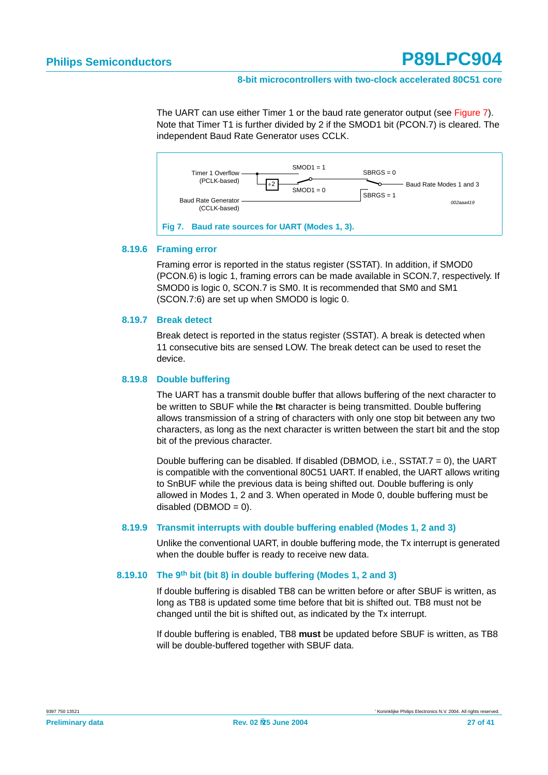The UART can use either Timer 1 or the baud rate generator output (see [Figure 7\)](#page-26-0). Note that Timer T1 is further divided by 2 if the SMOD1 bit (PCON.7) is cleared. The independent Baud Rate Generator uses CCLK.



#### <span id="page-26-1"></span><span id="page-26-0"></span>**8.19.6 Framing error**

Framing error is reported in the status register (SSTAT). In addition, if SMOD0 (PCON.6) is logic 1, framing errors can be made available in SCON.7, respectively. If SMOD0 is logic 0, SCON.7 is SM0. It is recommended that SM0 and SM1 (SCON.7:6) are set up when SMOD0 is logic 0.

#### <span id="page-26-2"></span>**8.19.7 Break detect**

Break detect is reported in the status register (SSTAT). A break is detected when 11 consecutive bits are sensed LOW. The break detect can be used to reset the device.

#### <span id="page-26-3"></span>**8.19.8 Double buffering**

The UART has a transmit double buffer that allows buffering of the next character to be written to SBUF while the rst character is being transmitted. Double buffering allows transmission of a string of characters with only one stop bit between any two characters, as long as the next character is written between the start bit and the stop bit of the previous character.

Double buffering can be disabled. If disabled (DBMOD, i.e., SSTAT.7 = 0), the UART is compatible with the conventional 80C51 UART. If enabled, the UART allows writing to SnBUF while the previous data is being shifted out. Double buffering is only allowed in Modes 1, 2 and 3. When operated in Mode 0, double buffering must be disabled  $(DBMOD = 0)$ .

#### <span id="page-26-4"></span>**8.19.9 Transmit interrupts with double buffering enabled (Modes 1, 2 and 3)**

Unlike the conventional UART, in double buffering mode, the Tx interrupt is generated when the double buffer is ready to receive new data.

#### <span id="page-26-5"></span>**8.19.10 The 9th bit (bit 8) in double buffering (Modes 1, 2 and 3)**

If double buffering is disabled TB8 can be written before or after SBUF is written, as long as TB8 is updated some time before that bit is shifted out. TB8 must not be changed until the bit is shifted out, as indicated by the Tx interrupt.

If double buffering is enabled, TB8 **must** be updated before SBUF is written, as TB8 will be double-buffered together with SBUF data.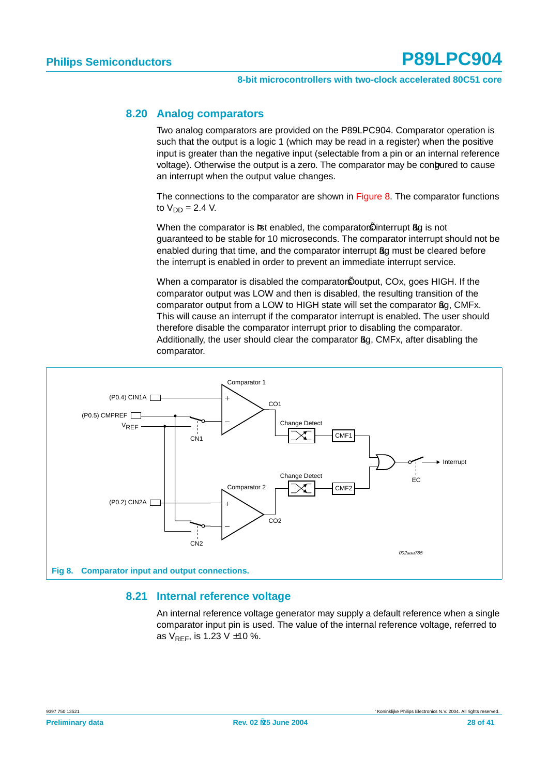#### <span id="page-27-1"></span>**8.20 Analog comparators**

Two analog comparators are provided on the P89LPC904. Comparator operation is such that the output is a logic 1 (which may be read in a register) when the positive input is greater than the negative input (selectable from a pin or an internal reference voltage). Otherwise the output is a zero. The comparator may be con gured to cause an interrupt when the output value changes.

The connections to the comparator are shown in [Figure 8](#page-27-0). The comparator functions to  $V_{DD} = 2.4$  V.

When the comparator is rst enabled, the comparator s interrupt ag is not guaranteed to be stable for 10 microseconds. The comparator interrupt should not be enabled during that time, and the comparator interrupt ag must be cleared before the interrupt is enabled in order to prevent an immediate interrupt service.

When a comparator is disabled the comparator s output, COx, goes HIGH. If the comparator output was LOW and then is disabled, the resulting transition of the comparator output from a LOW to HIGH state will set the comparator ag. CMFx. This will cause an interrupt if the comparator interrupt is enabled. The user should therefore disable the comparator interrupt prior to disabling the comparator. Additionally, the user should clear the comparator ag, CMFx, after disabling the comparator.



#### <span id="page-27-2"></span><span id="page-27-0"></span>**8.21 Internal reference voltage**

An internal reference voltage generator may supply a default reference when a single comparator input pin is used. The value of the internal reference voltage, referred to as  $V_{REF}$ , is 1.23 V  $\pm$ 10 %.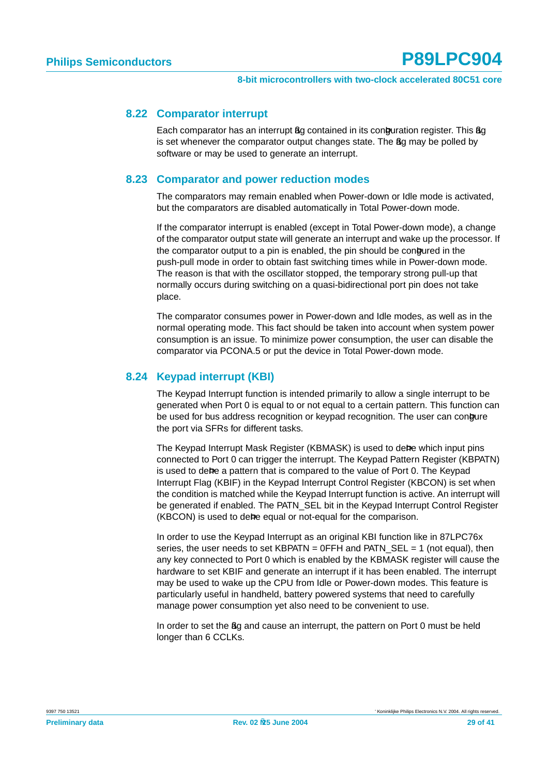#### <span id="page-28-0"></span>**8.22 Comparator interrupt**

Each comparator has an interrupt ag contained in its con guration register. This ag is set whenever the comparator output changes state. The ag may be polled by software or may be used to generate an interrupt.

#### <span id="page-28-1"></span>**8.23 Comparator and power reduction modes**

The comparators may remain enabled when Power-down or Idle mode is activated, but the comparators are disabled automatically in Total Power-down mode.

If the comparator interrupt is enabled (except in Total Power-down mode), a change of the comparator output state will generate an interrupt and wake up the processor. If the comparator output to a pin is enabled, the pin should be con qured in the push-pull mode in order to obtain fast switching times while in Power-down mode. The reason is that with the oscillator stopped, the temporary strong pull-up that normally occurs during switching on a quasi-bidirectional port pin does not take place.

The comparator consumes power in Power-down and Idle modes, as well as in the normal operating mode. This fact should be taken into account when system power consumption is an issue. To minimize power consumption, the user can disable the comparator via PCONA.5 or put the device in Total Power-down mode.

#### <span id="page-28-2"></span>**8.24 Keypad interrupt (KBI)**

The Keypad Interrupt function is intended primarily to allow a single interrupt to be generated when Port 0 is equal to or not equal to a certain pattern. This function can be used for bus address recognition or keypad recognition. The user can con gure the port via SFRs for different tasks.

The Keypad Interrupt Mask Register (KBMASK) is used to de ne which input pins connected to Port 0 can trigger the interrupt. The Keypad Pattern Register (KBPATN) is used to de ne a pattern that is compared to the value of Port 0. The Keypad Interrupt Flag (KBIF) in the Keypad Interrupt Control Register (KBCON) is set when the condition is matched while the Keypad Interrupt function is active. An interrupt will be generated if enabled. The PATN\_SEL bit in the Keypad Interrupt Control Register (KBCON) is used to de ne equal or not-equal for the comparison.

In order to use the Keypad Interrupt as an original KBI function like in 87LPC76x series, the user needs to set  $KBPATH = 0FFH$  and  $PATH\_SEL = 1$  (not equal), then any key connected to Port 0 which is enabled by the KBMASK register will cause the hardware to set KBIF and generate an interrupt if it has been enabled. The interrupt may be used to wake up the CPU from Idle or Power-down modes. This feature is particularly useful in handheld, battery powered systems that need to carefully manage power consumption yet also need to be convenient to use.

In order to set the ag and cause an interrupt, the pattern on Port 0 must be held longer than 6 CCLKs.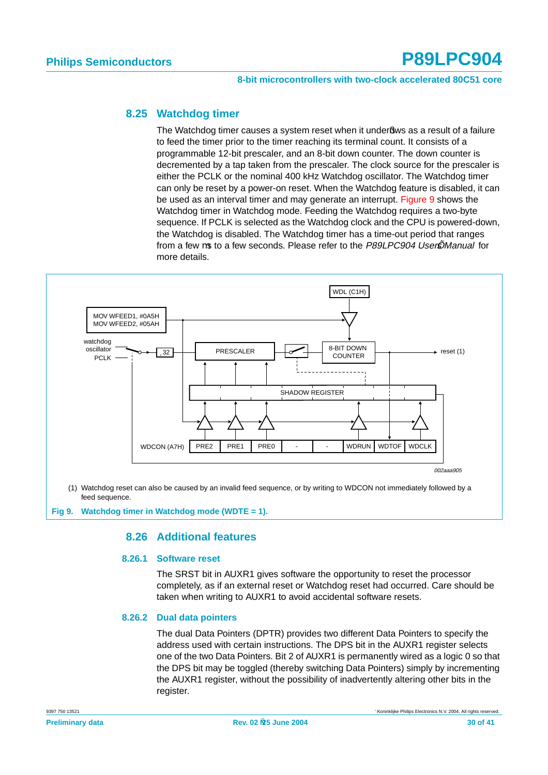#### **8-bit microcontrollers with two-clock accelerated 80C51 core**

### <span id="page-29-1"></span>**8.25 Watchdog timer**

The Watchdog timer causes a system reset when it under ows as a result of a failure to feed the timer prior to the timer reaching its terminal count. It consists of a programmable 12-bit prescaler, and an 8-bit down counter. The down counter is decremented by a tap taken from the prescaler. The clock source for the prescaler is either the PCLK or the nominal 400 kHz Watchdog oscillator. The Watchdog timer can only be reset by a power-on reset. When the Watchdog feature is disabled, it can be used as an interval timer and may generate an interrupt. [Figure 9](#page-29-0) shows the Watchdog timer in Watchdog mode. Feeding the Watchdog requires a two-byte sequence. If PCLK is selected as the Watchdog clock and the CPU is powered-down, the Watchdog is disabled. The Watchdog timer has a time-out period that ranges from a few us to a few seconds. Please refer to the P89LPC904 User s Manual for more details.



<span id="page-29-3"></span><span id="page-29-2"></span><span id="page-29-0"></span>**Fig 9. Watchdog timer in Watchdog mode (WDTE = 1).**

### **8.26 Additional features**

#### **8.26.1 Software reset**

The SRST bit in AUXR1 gives software the opportunity to reset the processor completely, as if an external reset or Watchdog reset had occurred. Care should be taken when writing to AUXR1 to avoid accidental software resets.

#### <span id="page-29-4"></span>**8.26.2 Dual data pointers**

The dual Data Pointers (DPTR) provides two different Data Pointers to specify the address used with certain instructions. The DPS bit in the AUXR1 register selects one of the two Data Pointers. Bit 2 of AUXR1 is permanently wired as a logic 0 so that the DPS bit may be toggled (thereby switching Data Pointers) simply by incrementing the AUXR1 register, without the possibility of inadvertently altering other bits in the register.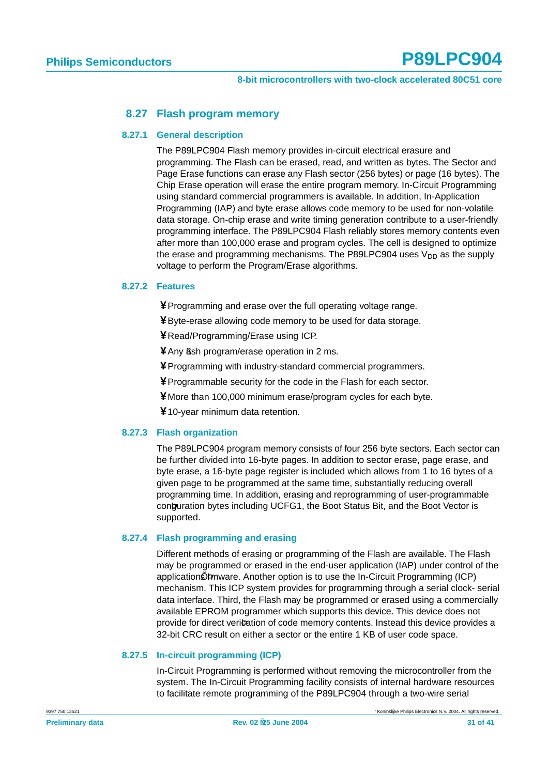#### **8.27 Flash program memory**

#### <span id="page-30-1"></span><span id="page-30-0"></span>**8.27.1 General description**

The P89LPC904 Flash memory provides in-circuit electrical erasure and programming. The Flash can be erased, read, and written as bytes. The Sector and Page Erase functions can erase any Flash sector (256 bytes) or page (16 bytes). The Chip Erase operation will erase the entire program memory. In-Circuit Programming using standard commercial programmers is available. In addition, In-Application Programming (IAP) and byte erase allows code memory to be used for non-volatile data storage. On-chip erase and write timing generation contribute to a user-friendly programming interface. The P89LPC904 Flash reliably stores memory contents even after more than 100,000 erase and program cycles. The cell is designed to optimize the erase and programming mechanisms. The P89LPC904 uses  $V_{DD}$  as the supply voltage to perform the Program/Erase algorithms.

#### <span id="page-30-2"></span>**8.27.2 Features**

**¥**Programming and erase over the full operating voltage range.

**¥**Byte-erase allowing code memory to be used for data storage.

**¥**Read/Programming/Erase using ICP.

**¥**Any ash program/erase operation in 2 ms.

**¥**Programming with industry-standard commercial programmers.

**¥**Programmable security for the code in the Flash for each sector.

**¥** More than 100,000 minimum erase/program cycles for each byte.

**¥**10-year minimum data retention.

#### <span id="page-30-3"></span>**8.27.3 Flash organization**

The P89LPC904 program memory consists of four 256 byte sectors. Each sector can be further divided into 16-byte pages. In addition to sector erase, page erase, and byte erase, a 16-byte page register is included which allows from 1 to 16 bytes of a given page to be programmed at the same time, substantially reducing overall programming time. In addition, erasing and reprogramming of user-programmable con quration bytes including UCFG1, the Boot Status Bit, and the Boot Vector is supported.

#### <span id="page-30-4"></span>**8.27.4 Flash programming and erasing**

Different methods of erasing or programming of the Flash are available. The Flash may be programmed or erased in the end-user application (IAP) under control of the application s rmware. Another option is to use the In-Circuit Programming (ICP) mechanism. This ICP system provides for programming through a serial clock- serial data interface. Third, the Flash may be programmed or erased using a commercially available EPROM programmer which supports this device. This device does not provide for direct veri cation of code memory contents. Instead this device provides a 32-bit CRC result on either a sector or the entire 1 KB of user code space.

#### <span id="page-30-5"></span>**8.27.5 In-circuit programming (ICP)**

In-Circuit Programming is performed without removing the microcontroller from the system. The In-Circuit Programming facility consists of internal hardware resources to facilitate remote programming of the P89LPC904 through a two-wire serial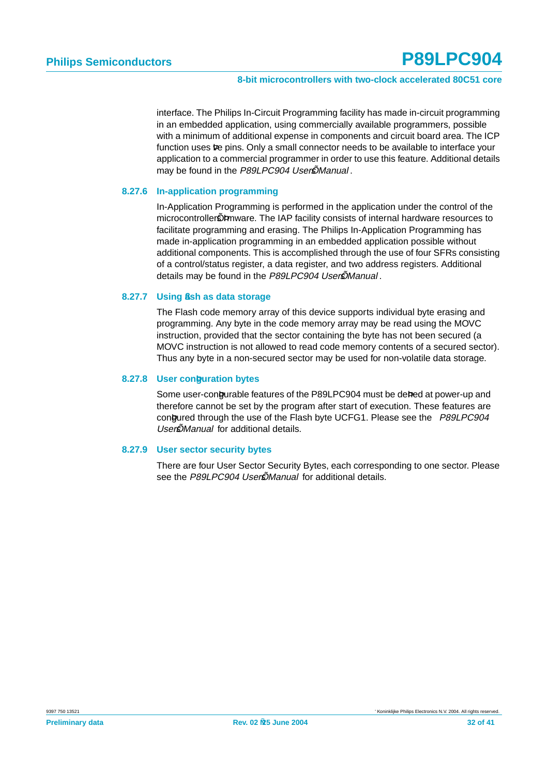interface. The Philips In-Circuit Programming facility has made in-circuit programming in an embedded application, using commercially available programmers, possible with a minimum of additional expense in components and circuit board area. The ICP function uses ve pins. Only a small connector needs to be available to interface your application to a commercial programmer in order to use this feature. Additional details may be found in the P89LPC904 User s Manual.

#### <span id="page-31-0"></span>**8.27.6 In-application programming**

In-Application Programming is performed in the application under the control of the microcontroller s rmware. The IAP facility consists of internal hardware resources to facilitate programming and erasing. The Philips In-Application Programming has made in-application programming in an embedded application possible without additional components. This is accomplished through the use of four SFRs consisting of a control/status register, a data register, and two address registers. Additional details may be found in the P89LPC904 User s Manual.

#### <span id="page-31-1"></span>**8.27.7 Using ash as data storage**

The Flash code memory array of this device supports individual byte erasing and programming. Any byte in the code memory array may be read using the MOVC instruction, provided that the sector containing the byte has not been secured (a MOVC instruction is not allowed to read code memory contents of a secured sector). Thus any byte in a non-secured sector may be used for non-volatile data storage.

#### <span id="page-31-2"></span>**8.27.8 User con guration bytes**

Some user-con gurable features of the P89LPC904 must be de ned at power-up and therefore cannot be set by the program after start of execution. These features are con gured through the use of the Flash byte UCFG1. Please see the P89LPC904 User s Manual for additional details.

#### <span id="page-31-3"></span>**8.27.9 User sector security bytes**

There are four User Sector Security Bytes, each corresponding to one sector. Please see the P89LPC904 User s Manual for additional details.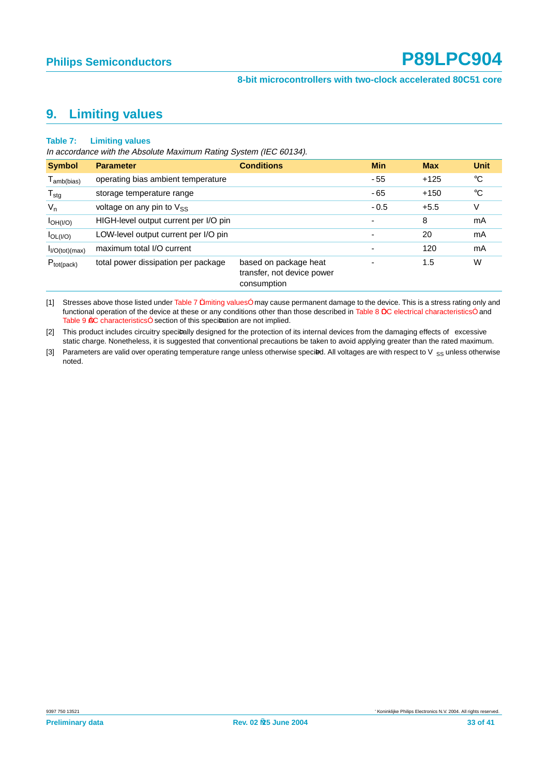## <span id="page-32-1"></span>**9. Limiting values**

#### <span id="page-32-0"></span>**Table 7: Limiting values**

In accordance with the Absolute Maximum Rating System (IEC 60134).

| <b>Symbol</b>               | <b>Parameter</b>                      | <b>Conditions</b>                                                  | <b>Min</b>               | <b>Max</b> | <b>Unit</b> |
|-----------------------------|---------------------------------------|--------------------------------------------------------------------|--------------------------|------------|-------------|
| $T_{amb(bias)}$             | operating bias ambient temperature    |                                                                    | $-55$                    | $+125$     | °C          |
| $T_{\text{stg}}$            | storage temperature range             |                                                                    | $-65$                    | $+150$     | $^{\circ}C$ |
| $V_{n}$                     | voltage on any pin to $V_{SS}$        |                                                                    | $-0.5$                   | $+5.5$     | ٧           |
| IOH(I/O)                    | HIGH-level output current per I/O pin |                                                                    | ٠                        | 8          | mA          |
| $I_{OL( I/O)}$              | LOW-level output current per I/O pin  |                                                                    | ٠                        | 20         | mA          |
| I <sub>I/O</sub> (tot)(max) | maximum total I/O current             |                                                                    | $\overline{\phantom{0}}$ | 120        | mA          |
| $P_{tot(pack)}$             | total power dissipation per package   | based on package heat<br>transfer, not device power<br>consumption |                          | 1.5        | W           |

[1] Stresses above those listed under Table 7 Limiting values may cause permanent damage to the device. This is a stress rating only and functional operation of the device at these or any conditions other than those described in Table 8 DC electrical characteristics and Table 9 AC characteristics section of this speci cation are not implied.

[2] This product includes circuitry speci cally designed for the protection of its internal devices from the damaging effects of excessive static charge. Nonetheless, it is suggested that conventional precautions be taken to avoid applying greater than the rated maximum.

[3] Parameters are valid over operating temperature range unless otherwise speci ed. All voltages are with respect to V  $_{\rm SS}$  unless otherwise noted.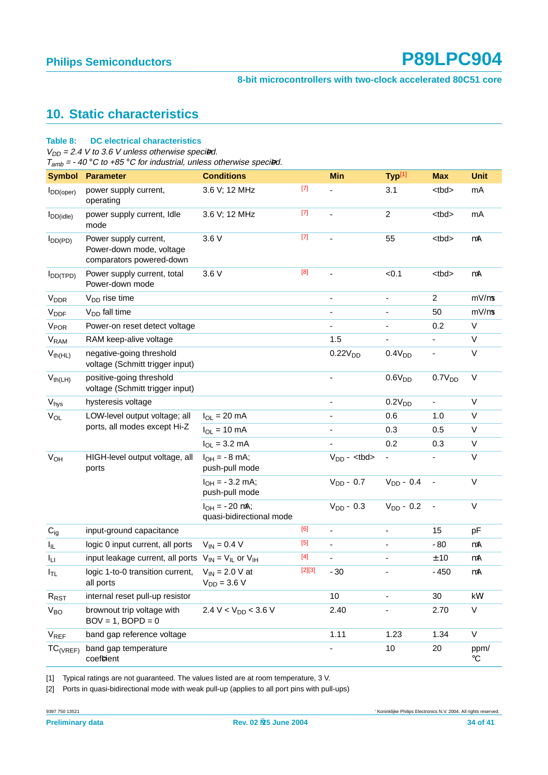**8-bit microcontrollers with two-clock accelerated 80C51 core**

## <span id="page-33-3"></span>**10. Static characteristics**

#### <span id="page-33-0"></span>**Table 8: DC electrical characteristics**

 $V_{DD}$  = 2.4 V to 3.6 V unless otherwise speci ed.

 $T_{amb} = -40 °C$  to +85 °C for industrial, unless otherwise speci ed.

| <b>Symbol</b>           | <b>Parameter</b>                                                              | <b>Conditions</b>                                 |                                                                                                                                                                                                                                                                | <b>Min</b>          | Typ[1]             | <b>Max</b>                   | <b>Unit</b>               |
|-------------------------|-------------------------------------------------------------------------------|---------------------------------------------------|----------------------------------------------------------------------------------------------------------------------------------------------------------------------------------------------------------------------------------------------------------------|---------------------|--------------------|------------------------------|---------------------------|
| $I_{DD(open)}$          | power supply current,<br>operating                                            | 3.6 V; 12 MHz                                     | $[7] \centering% \includegraphics[width=1.0\textwidth]{images/TrDiC-Architecture.png} \caption{The 3D (top) and the 4D (bottom) of the 3D (bottom) and the 4D (bottom) of the 3D (bottom) and the 4D (bottom) of the 3D (bottom).} \label{TrDiC-Architecture}$ |                     | 3.1                | <tbd></tbd>                  | mA                        |
| $I_{DD(idle)}$          | power supply current, Idle<br>mode                                            | 3.6 V; 12 MHz                                     | $[7]$                                                                                                                                                                                                                                                          |                     | $\overline{c}$     | <tbd></tbd>                  | mA                        |
| $I_{DD(PD)}$            | Power supply current,<br>Power-down mode, voltage<br>comparators powered-down | 3.6 V                                             | $[7]$                                                                                                                                                                                                                                                          | $\blacksquare$      | 55                 | <tbd></tbd>                  | μA                        |
| $I_{DD(TPD)}$           | Power supply current, total<br>Power-down mode                                | 3.6 V                                             | [8]                                                                                                                                                                                                                                                            |                     | < 0.1              | <tbd></tbd>                  | $\mu$ A                   |
| $V_{\text{DDR}}$        | $V_{DD}$ rise time                                                            |                                                   |                                                                                                                                                                                                                                                                | ä,                  | ä,                 | $\overline{2}$               | $mV/\mu s$                |
| <b>V</b> <sub>DDF</sub> | $V_{DD}$ fall time                                                            |                                                   |                                                                                                                                                                                                                                                                | ÷,                  |                    | 50                           | $mV/\mu s$                |
| <b>V<sub>POR</sub></b>  | Power-on reset detect voltage                                                 |                                                   |                                                                                                                                                                                                                                                                | ÷,                  | $\blacksquare$     | 0.2                          | V                         |
| V <sub>RAM</sub>        | RAM keep-alive voltage                                                        |                                                   |                                                                                                                                                                                                                                                                | 1.5                 |                    | L                            | V                         |
| $V_{th(HL)}$            | negative-going threshold<br>voltage (Schmitt trigger input)                   |                                                   |                                                                                                                                                                                                                                                                | 0.22V <sub>DD</sub> | 0.4V <sub>DD</sub> | $\qquad \qquad \blacksquare$ | $\vee$                    |
| $V_{th(LH)}$            | positive-going threshold<br>voltage (Schmitt trigger input)                   |                                                   |                                                                                                                                                                                                                                                                | ÷                   | 0.6V <sub>DD</sub> | 0.7V <sub>DD</sub>           | $\vee$                    |
| V <sub>hys</sub>        | hysteresis voltage                                                            |                                                   |                                                                                                                                                                                                                                                                | ٠                   | 0.2V <sub>DD</sub> | $\overline{\phantom{0}}$     | $\vee$                    |
| $V_{OL}$                | LOW-level output voltage; all<br>ports, all modes except Hi-Z                 | $I_{OL}$ = 20 mA                                  |                                                                                                                                                                                                                                                                | ٠                   | 0.6                | 1.0                          | $\vee$                    |
|                         |                                                                               | $I_{OL}$ = 10 mA                                  |                                                                                                                                                                                                                                                                |                     | 0.3                | 0.5                          | $\vee$                    |
|                         |                                                                               | $I_{OL} = 3.2$ mA                                 |                                                                                                                                                                                                                                                                |                     | 0.2                | 0.3                          | $\mathsf V$               |
| <b>V<sub>OH</sub></b>   | HIGH-level output voltage, all<br>ports                                       | $I_{OH} = -8$ mA;<br>push-pull mode               |                                                                                                                                                                                                                                                                | $V_{DD} - td$       | $\blacksquare$     |                              | $\vee$                    |
|                         |                                                                               | $I_{OH} = -3.2$ mA;<br>push-pull mode             |                                                                                                                                                                                                                                                                | $V_{DD}$ – 0.7      | $V_{DD}$ – 0.4     | ÷,                           | $\vee$                    |
|                         |                                                                               | $I_{OH} = -20 \mu A;$<br>quasi-bidirectional mode |                                                                                                                                                                                                                                                                | $V_{DD} - 0.3$      | $V_{DD} - 0.2$     | $\qquad \qquad \blacksquare$ | $\vee$                    |
| $C_{ig}$                | input-ground capacitance                                                      |                                                   | [6]                                                                                                                                                                                                                                                            | ÷                   |                    | 15                           | pF                        |
| $I_{IL}$                | logic 0 input current, all ports                                              | $V_{IN} = 0.4 V$                                  | $[5]$                                                                                                                                                                                                                                                          | l,                  |                    | $-80$                        | μA                        |
| Ιu                      | input leakage current, all ports $V_{IN} = V_{IL}$ or $V_{IH}$                |                                                   | $[4]$                                                                                                                                                                                                                                                          | $\blacksquare$      |                    | ± 10                         | μA                        |
| ŀτL                     | logic 1-to-0 transition current,<br>all ports                                 | $V_{IN}$ = 2.0 V at<br>$V_{DD} = 3.6 V$           | $[2][3]$                                                                                                                                                                                                                                                       | $-30$               |                    | $-450$                       | $\mu$ A                   |
| R <sub>RST</sub>        | internal reset pull-up resistor                                               |                                                   |                                                                                                                                                                                                                                                                | 10                  |                    | 30                           | k $\Omega$                |
| $V_{BO}$                | brownout trip voltage with<br>$BOV = 1$ , $BOPD = 0$                          | 2.4 V < $V_{DD}$ < 3.6 V                          |                                                                                                                                                                                                                                                                | 2.40                |                    | 2.70                         | $\mathsf V$               |
| $V_{REF}$               | band gap reference voltage                                                    |                                                   |                                                                                                                                                                                                                                                                | 1.11                | 1.23               | 1.34                         | V                         |
| $TC_{(VREF)}$           | band gap temperature<br>coef cient                                            |                                                   |                                                                                                                                                                                                                                                                |                     | 10                 | 20                           | ppm/<br>$^{\circ}{\rm C}$ |

<span id="page-33-1"></span>[1] Typical ratings are not guaranteed. The values listed are at room temperature, 3 V.

<span id="page-33-2"></span>[2] Ports in quasi-bidirectional mode with weak pull-up (applies to all port pins with pull-ups)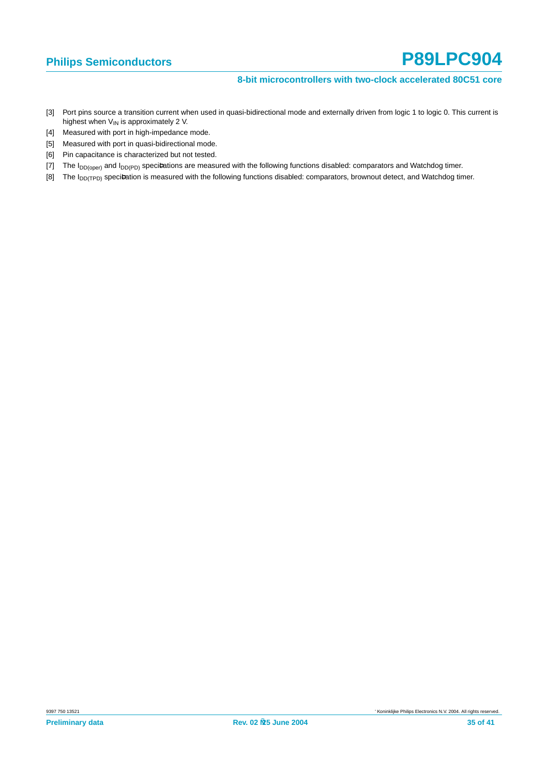#### **8-bit microcontrollers with two-clock accelerated 80C51 core**

- <span id="page-34-4"></span>[3] Port pins source a transition current when used in quasi-bidirectional mode and externally driven from logic 1 to logic 0. This current is highest when  $V_{IN}$  is approximately 2 V.
- <span id="page-34-3"></span>[4] Measured with port in high-impedance mode.
- <span id="page-34-2"></span>[5] Measured with port in quasi-bidirectional mode.
- <span id="page-34-1"></span>[6] Pin capacitance is characterized but not tested.
- <span id="page-34-0"></span>[7] The  $I_{DD(open)}$  and  $I_{DD(PD)}$  speci cations are measured with the following functions disabled: comparators and Watchdog timer.
- [8] The  $I_{DD(TPD)}$  speci cation is measured with the following functions disabled: comparators, brownout detect, and Watchdog timer.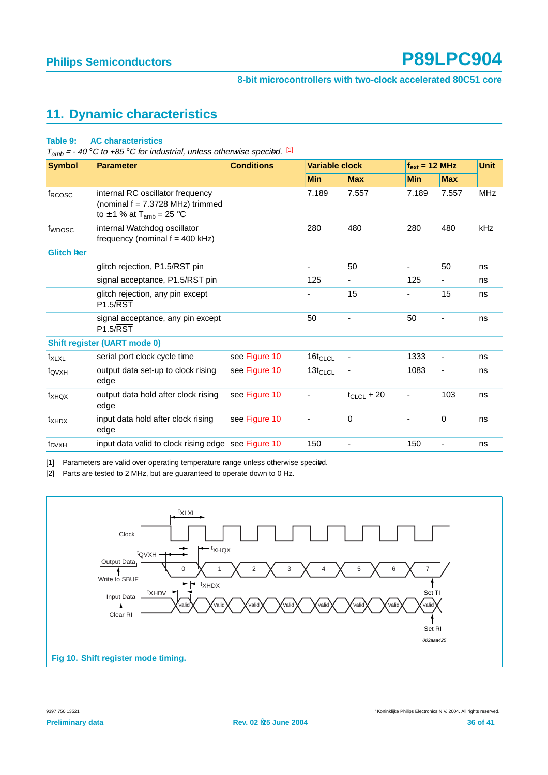## <span id="page-35-2"></span>**11. Dynamic characteristics**

#### **Table 9: AC characteristics**

 $T_{amb} = -40$  °C to +85 °C for industrial, unless otherwise speci ed. [\[1\]](#page-35-0)

| <b>Symbol</b>      | <b>Parameter</b>                                                                                                   | <b>Conditions</b> | Variable clock |                              | $f_{ext}$ = 12 MHz       |                          | <b>Unit</b> |
|--------------------|--------------------------------------------------------------------------------------------------------------------|-------------------|----------------|------------------------------|--------------------------|--------------------------|-------------|
|                    |                                                                                                                    |                   | <b>Min</b>     | <b>Max</b>                   | <b>Min</b>               | <b>Max</b>               |             |
| f <sub>RCOSC</sub> | internal RC oscillator frequency<br>(nominal $f = 7.3728$ MHz) trimmed<br>to $\pm$ 1 % at T <sub>amb</sub> = 25 °C |                   | 7.189          | 7.557                        | 7.189                    | 7.557                    | <b>MHz</b>  |
| f <sub>WDOSC</sub> | internal Watchdog oscillator<br>frequency (nominal $f = 400$ kHz)                                                  |                   | 280            | 480                          | 280                      | 480                      | kHz         |
| <b>Glitch Iter</b> |                                                                                                                    |                   |                |                              |                          |                          |             |
|                    | glitch rejection, P1.5/RST pin                                                                                     |                   |                | 50                           |                          | 50                       | ns          |
|                    | signal acceptance, P1.5/RST pin                                                                                    |                   | 125            |                              | 125                      |                          | ns          |
|                    | glitch rejection, any pin except<br>$P1.5/\overline{RST}$                                                          |                   |                | 15                           |                          | 15                       | ns          |
|                    | signal acceptance, any pin except<br><b>P1.5/RST</b>                                                               |                   | 50             | ٠                            | 50                       |                          | ns          |
|                    | <b>Shift register (UART mode 0)</b>                                                                                |                   |                |                              |                          |                          |             |
| $t_{\text{XLXL}}$  | serial port clock cycle time                                                                                       | see Figure 10     | $16t_{CLCL}$   |                              | 1333                     | $\overline{\phantom{a}}$ | ns          |
| $t_{\text{QVXH}}$  | output data set-up to clock rising<br>edge                                                                         | see Figure 10     | $13t_{CLCL}$   | $\qquad \qquad \blacksquare$ | 1083                     | $\overline{\phantom{a}}$ | ns          |
| $t_{XHQX}$         | output data hold after clock rising<br>edge                                                                        | see Figure 10     |                | $t_{CLCL}$ + 20              | $\overline{\phantom{a}}$ | 103                      | ns          |
| $t_{XHDX}$         | input data hold after clock rising<br>edge                                                                         | see Figure 10     |                | $\Omega$                     |                          | $\Omega$                 | ns          |
| t <sub>DVXH</sub>  | input data valid to clock rising edge see Figure 10                                                                |                   | 150            |                              | 150                      |                          | ns          |

<span id="page-35-0"></span>[1] Parameters are valid over operating temperature range unless otherwise speci ed.

[2] Parts are tested to 2 MHz, but are guaranteed to operate down to 0 Hz.

<span id="page-35-1"></span>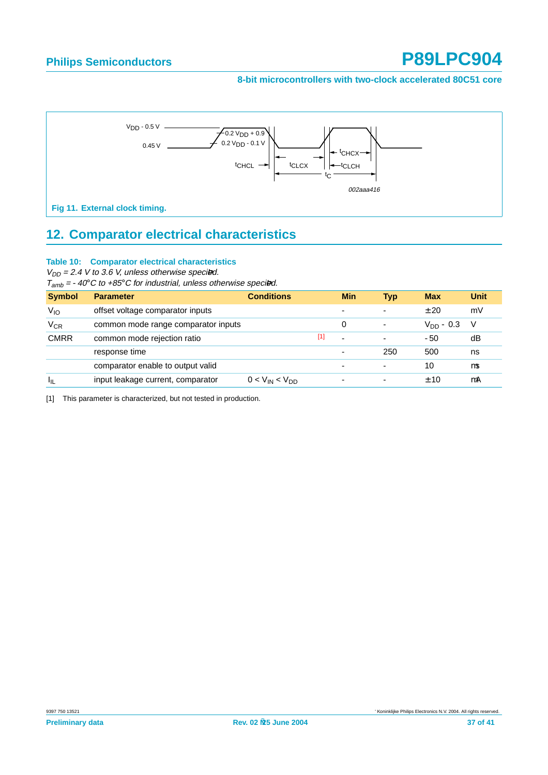#### **8-bit microcontrollers with two-clock accelerated 80C51 core**



## <span id="page-36-1"></span>**12. Comparator electrical characteristics**

#### **Table 10: Comparator electrical characteristics**

 $V_{DD}$  = 2.4 V to 3.6 V, unless otherwise speci ed.

 $T_{amb} = -40^{\circ}$ C to +85°C for industrial, unless otherwise speci ed.

| <b>Symbol</b> | <b>Parameter</b>                    | <b>Conditions</b>     |       | <b>Min</b>               | <b>Typ</b>               | <b>Max</b>     | Unit |
|---------------|-------------------------------------|-----------------------|-------|--------------------------|--------------------------|----------------|------|
| $V_{IO}$      | offset voltage comparator inputs    |                       |       | $\overline{\phantom{0}}$ | $\blacksquare$           | ± 20           | mV   |
| $V_{CR}$      | common mode range comparator inputs |                       |       | 0                        | ۰                        | $V_{DD}$ – 0.3 | - V  |
| <b>CMRR</b>   | common mode rejection ratio         |                       | $[1]$ | $\overline{\phantom{a}}$ | $\overline{\phantom{0}}$ | $-50$          | dB   |
|               | response time                       |                       |       | $\blacksquare$           | 250                      | 500            | ns   |
|               | comparator enable to output valid   |                       |       | $\overline{\phantom{a}}$ | $\overline{\phantom{0}}$ | 10             | μs   |
| Ι'n           | input leakage current, comparator   | $0 < V_{IN} < V_{DD}$ |       | $\overline{\phantom{a}}$ | ٠                        | ± 10           | μA   |

<span id="page-36-0"></span>[1] This parameter is characterized, but not tested in production.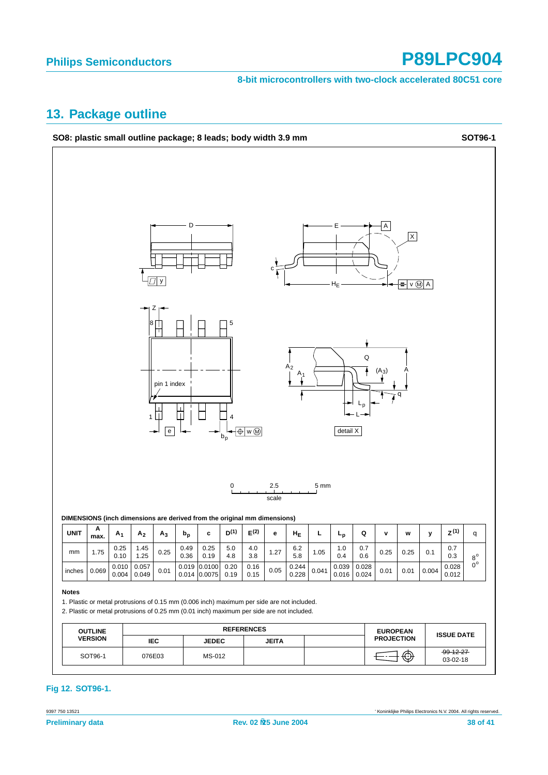**8-bit microcontrollers with two-clock accelerated 80C51 core**

### <span id="page-37-0"></span>**13. Package outline**

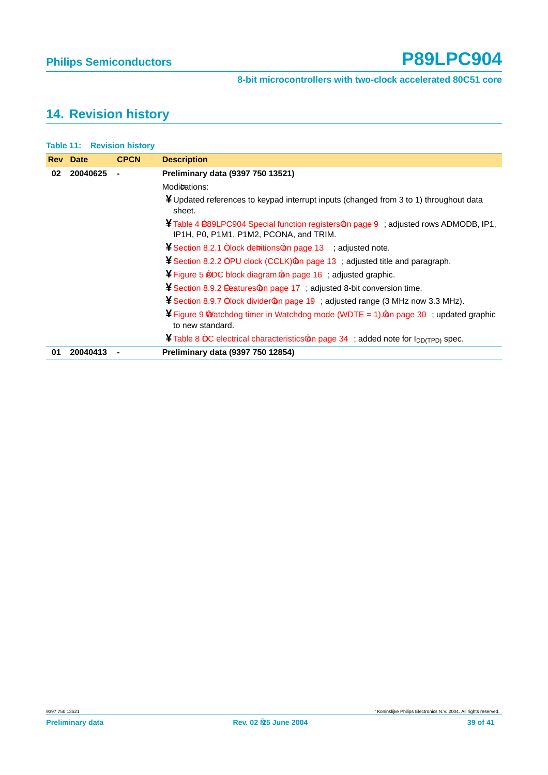# <span id="page-38-0"></span>**14. Revision history**

|                | <b>Table 11: Revision history</b> |             |                                                                                                                               |
|----------------|-----------------------------------|-------------|-------------------------------------------------------------------------------------------------------------------------------|
|                | <b>Rev</b> Date                   | <b>CPCN</b> | <b>Description</b>                                                                                                            |
| 20040625<br>02 |                                   |             | Preliminary data (9397 750 13521)                                                                                             |
|                |                                   |             | Modi cations:                                                                                                                 |
|                |                                   |             | $\frac{1}{2}$ Updated references to keypad interrupt inputs (changed from 3 to 1) throughout data<br>sheet.                   |
|                |                                   |             | ¥Table 4 P89LPC904 Special function registers on page 9; adjusted rows ADMODB, IP1,<br>IP1H, P0, P1M1, P1M2, PCONA, and TRIM. |
|                |                                   |             | ¥ Section 8.2.1 Clock de nitions on page 13 ; adjusted note.                                                                  |
|                |                                   |             | ¥ Section 8.2.2 CPU clock (CCLK) on page 13; adjusted title and paragraph.                                                    |
|                |                                   |             | ¥ Figure 5 ADC block diagram. on page 16; adjusted graphic.                                                                   |
|                |                                   |             | ¥ Section 8.9.2 Features on page 17; adjusted 8-bit conversion time.                                                          |
|                |                                   |             | ¥ Section 8.9.7 Clock divider on page 19; adjusted range (3 MHz now 3.3 MHz).                                                 |
|                |                                   |             | $*$ Figure 9 Watchdog timer in Watchdog mode (WDTE = 1). on page 30; updated graphic<br>to new standard.                      |
|                |                                   |             | $*$ Table 8 DC electrical characteristics on page 34; added note for $I_{DD(TPD)}$ spec.                                      |
| 01             | 20040413                          |             | Preliminary data (9397 750 12854)                                                                                             |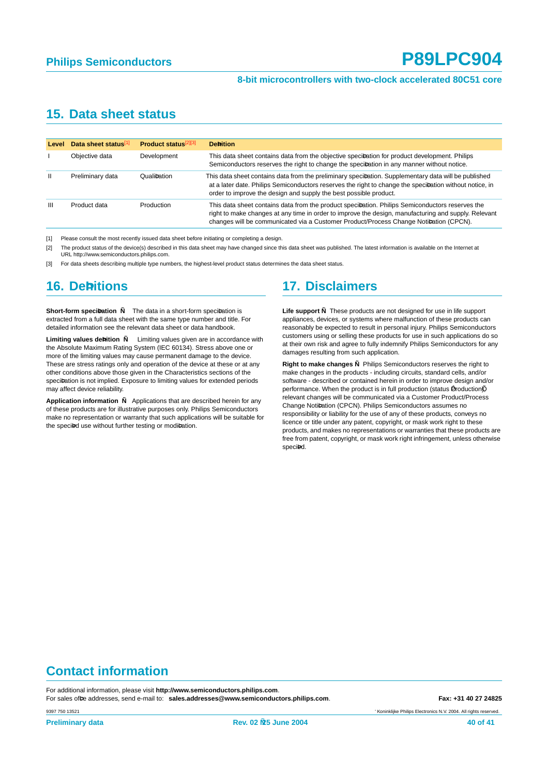### **15. Data sheet status**

| Level        | Data sheet status[1] | <b>Product status</b> <sup>[2][3]</sup> | De nition                                                                                                                                                                                                                                                                                          |
|--------------|----------------------|-----------------------------------------|----------------------------------------------------------------------------------------------------------------------------------------------------------------------------------------------------------------------------------------------------------------------------------------------------|
|              | Objective data       | Development                             | This data sheet contains data from the objective speci cation for product development. Philips<br>Semiconductors reserves the right to change the speci cation in any manner without notice.                                                                                                       |
| $\mathbf{I}$ | Preliminary data     | Quali cation                            | This data sheet contains data from the preliminary speci cation. Supplementary data will be published<br>at a later date. Philips Semiconductors reserves the right to change the speci cation without notice, in<br>order to improve the design and supply the best possible product.             |
| Ш            | Product data         | Production                              | This data sheet contains data from the product speci cation. Philips Semiconductors reserves the<br>right to make changes at any time in order to improve the design, manufacturing and supply. Relevant<br>changes will be communicated via a Customer Product/Process Change Noti cation (CPCN). |

[1] Please consult the most recently issued data sheet before initiating or completing a design.

[2] The product status of the device(s) described in this data sheet may have changed since this data sheet was published. The latest information is available on the Internet at URL http://www.semiconductors.philips.com.

[3] For data sheets describing multiple type numbers, the highest-level product status determines the data sheet status.

### **16. De nitions**

**Short-form speci cation** The data in a short-form speci cation is extracted from a full data sheet with the same type number and title. For detailed information see the relevant data sheet or data handbook.

**Limiting values de nition** Limiting values given are in accordance with the Absolute Maximum Rating System (IEC 60134). Stress above one or more of the limiting values may cause permanent damage to the device. These are stress ratings only and operation of the device at these or at any other conditions above those given in the Characteristics sections of the speci cation is not implied. Exposure to limiting values for extended periods may affect device reliability.

**Application information** Applications that are described herein for any of these products are for illustrative purposes only. Philips Semiconductors make no representation or warranty that such applications will be suitable for the speci ed use without further testing or modi cation.

### **17. Disclaimers**

**Life support** These products are not designed for use in life support appliances, devices, or systems where malfunction of these products can reasonably be expected to result in personal injury. Philips Semiconductors customers using or selling these products for use in such applications do so at their own risk and agree to fully indemnify Philips Semiconductors for any damages resulting from such application.

**Right to make changes** Philips Semiconductors reserves the right to make changes in the products - including circuits, standard cells, and/or software - described or contained herein in order to improve design and/or performance. When the product is in full production (status Production), relevant changes will be communicated via a Customer Product/Process Change Noti cation (CPCN). Philips Semiconductors assumes no responsibility or liability for the use of any of these products, conveys no licence or title under any patent, copyright, or mask work right to these products, and makes no representations or warranties that these products are free from patent, copyright, or mask work right infringement, unless otherwise speci ed.

## **Contact information**

For additional information, please visit **http://www.semiconductors.philips.com**. For sales of ce addresses, send e-mail to: **sales.addresses@www.semiconductors.philips.com.** Fax: +31 40 27 24825

' Koninklijke Philips Electronics N.V. 2004. All rights reserved.

9397 750 13521